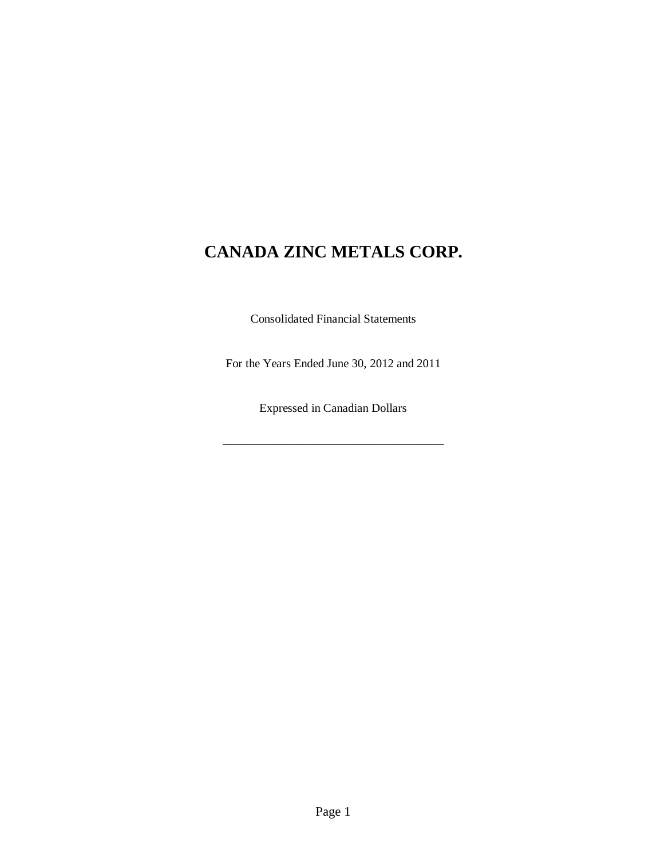Consolidated Financial Statements

For the Years Ended June 30, 2012 and 2011

Expressed in Canadian Dollars

\_\_\_\_\_\_\_\_\_\_\_\_\_\_\_\_\_\_\_\_\_\_\_\_\_\_\_\_\_\_\_\_\_\_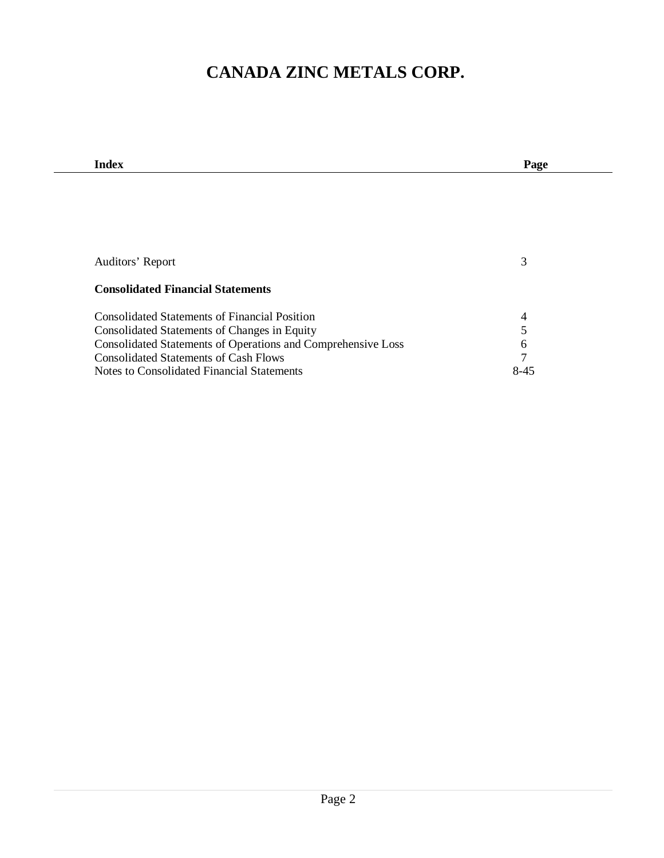| Index                                                        | Page     |
|--------------------------------------------------------------|----------|
|                                                              |          |
|                                                              |          |
|                                                              |          |
|                                                              |          |
|                                                              |          |
|                                                              |          |
| Auditors' Report                                             | 3        |
| <b>Consolidated Financial Statements</b>                     |          |
|                                                              |          |
| <b>Consolidated Statements of Financial Position</b>         | 4        |
| Consolidated Statements of Changes in Equity                 | 5        |
| Consolidated Statements of Operations and Comprehensive Loss | 6        |
| <b>Consolidated Statements of Cash Flows</b>                 | 7        |
| Notes to Consolidated Financial Statements                   | $8 - 45$ |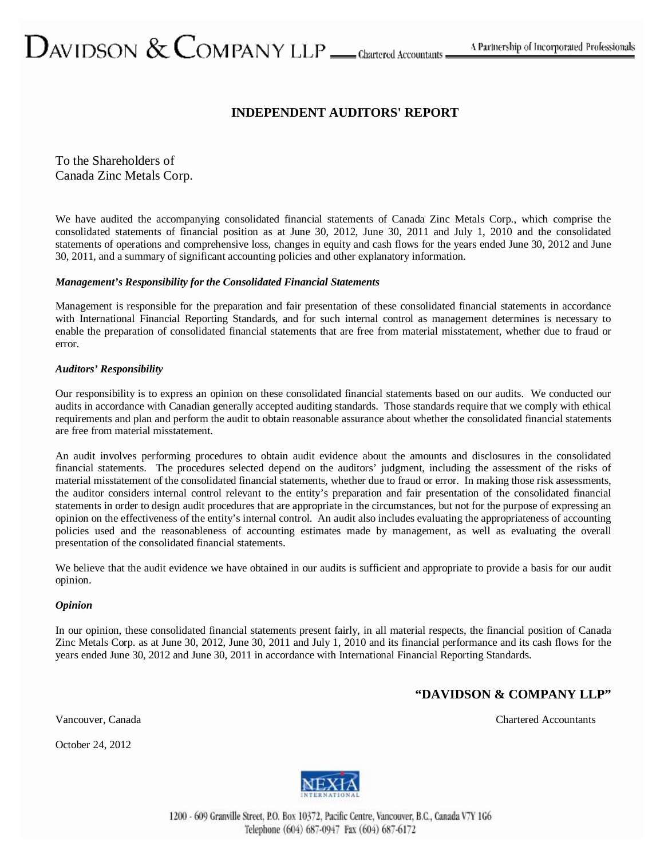# $\sum$ AVIDSON  $\&$  COMPANY LLP <u>—</u> chartered Accountants =

### **INDEPENDENT AUDITORS' REPORT**

To the Shareholders of Canada Zinc Metals Corp.

We have audited the accompanying consolidated financial statements of Canada Zinc Metals Corp., which comprise the consolidated statements of financial position as at June 30, 2012, June 30, 2011 and July 1, 2010 and the consolidated statements of operations and comprehensive loss, changes in equity and cash flows for the years ended June 30, 2012 and June 30, 2011, and a summary of significant accounting policies and other explanatory information.

#### *Management's Responsibility for the Consolidated Financial Statements*

Management is responsible for the preparation and fair presentation of these consolidated financial statements in accordance with International Financial Reporting Standards, and for such internal control as management determines is necessary to enable the preparation of consolidated financial statements that are free from material misstatement, whether due to fraud or error.

#### *Auditors' Responsibility*

Our responsibility is to express an opinion on these consolidated financial statements based on our audits. We conducted our audits in accordance with Canadian generally accepted auditing standards. Those standards require that we comply with ethical requirements and plan and perform the audit to obtain reasonable assurance about whether the consolidated financial statements are free from material misstatement.

An audit involves performing procedures to obtain audit evidence about the amounts and disclosures in the consolidated financial statements. The procedures selected depend on the auditors' judgment, including the assessment of the risks of material misstatement of the consolidated financial statements, whether due to fraud or error. In making those risk assessments, the auditor considers internal control relevant to the entity's preparation and fair presentation of the consolidated financial statements in order to design audit procedures that are appropriate in the circumstances, but not for the purpose of expressing an opinion on the effectiveness of the entity's internal control. An audit also includes evaluating the appropriateness of accounting policies used and the reasonableness of accounting estimates made by management, as well as evaluating the overall presentation of the consolidated financial statements.

We believe that the audit evidence we have obtained in our audits is sufficient and appropriate to provide a basis for our audit opinion.

#### *Opinion*

In our opinion, these consolidated financial statements present fairly, in all material respects, the financial position of Canada Zinc Metals Corp. as at June 30, 2012, June 30, 2011 and July 1, 2010 and its financial performance and its cash flows for the years ended June 30, 2012 and June 30, 2011 in accordance with International Financial Reporting Standards.

### **"DAVIDSON & COMPANY LLP"**

Vancouver, Canada Chartered Accountants Chartered Accountants

October 24, 2012

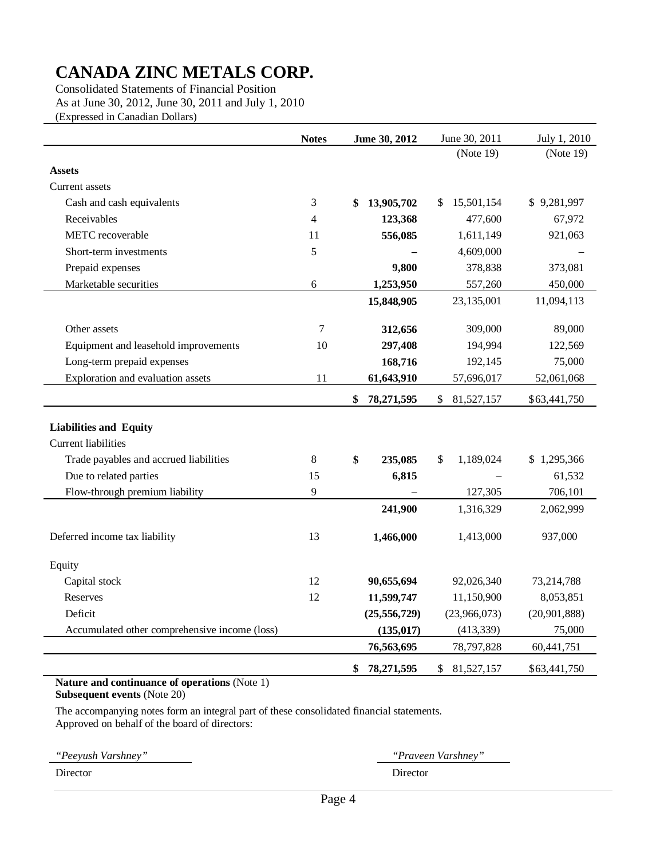Consolidated Statements of Financial Position As at June 30, 2012, June 30, 2011 and July 1, 2010 (Expressed in Canadian Dollars)

|                                               | <b>Notes</b>   | June 30, 2012    | June 30, 2011    | July 1, 2010   |
|-----------------------------------------------|----------------|------------------|------------------|----------------|
|                                               |                |                  | (Note 19)        | (Note 19)      |
| <b>Assets</b>                                 |                |                  |                  |                |
| Current assets                                |                |                  |                  |                |
| Cash and cash equivalents                     | 3              | \$<br>13,905,702 | 15,501,154<br>\$ | \$9,281,997    |
| Receivables                                   | $\overline{4}$ | 123,368          | 477,600          | 67,972         |
| <b>METC</b> recoverable                       | 11             | 556,085          | 1,611,149        | 921,063        |
| Short-term investments                        | 5              |                  | 4,609,000        |                |
| Prepaid expenses                              |                | 9,800            | 378,838          | 373,081        |
| Marketable securities                         | 6              | 1,253,950        | 557,260          | 450,000        |
|                                               |                | 15,848,905       | 23,135,001       | 11,094,113     |
| Other assets                                  | $\overline{7}$ | 312,656          | 309,000          | 89,000         |
| Equipment and leasehold improvements          | 10             | 297,408          | 194,994          | 122,569        |
| Long-term prepaid expenses                    |                | 168,716          | 192,145          | 75,000         |
| Exploration and evaluation assets             | 11             | 61,643,910       | 57,696,017       | 52,061,068     |
|                                               |                | \$<br>78,271,595 | \$<br>81,527,157 | \$63,441,750   |
| <b>Liabilities and Equity</b>                 |                |                  |                  |                |
| <b>Current liabilities</b>                    |                |                  |                  |                |
| Trade payables and accrued liabilities        | 8              | \$<br>235,085    | \$<br>1,189,024  | \$1,295,366    |
| Due to related parties                        | 15             | 6,815            |                  | 61,532         |
| Flow-through premium liability                | 9              |                  | 127,305          | 706,101        |
|                                               |                | 241,900          | 1,316,329        | 2,062,999      |
| Deferred income tax liability                 | 13             | 1,466,000        | 1,413,000        | 937,000        |
| Equity                                        |                |                  |                  |                |
| Capital stock                                 | 12             | 90,655,694       | 92,026,340       | 73,214,788     |
| Reserves                                      | 12             | 11,599,747       | 11,150,900       | 8,053,851      |
| Deficit                                       |                | (25, 556, 729)   | (23,966,073)     | (20, 901, 888) |
| Accumulated other comprehensive income (loss) |                | (135, 017)       | (413, 339)       | 75,000         |
|                                               |                | 76,563,695       | 78,797,828       | 60,441,751     |
|                                               |                | \$<br>78,271,595 | 81,527,157<br>\$ | \$63,441,750   |

### **Nature and continuance of operations** (Note 1)

**Subsequent events** (Note 20)

 $\overline{a}$ 

The accompanying notes form an integral part of these consolidated financial statements. Approved on behalf of the board of directors:

| "Peeyush Varshney" | "Praveen Varshney" |
|--------------------|--------------------|
| Director           | Director           |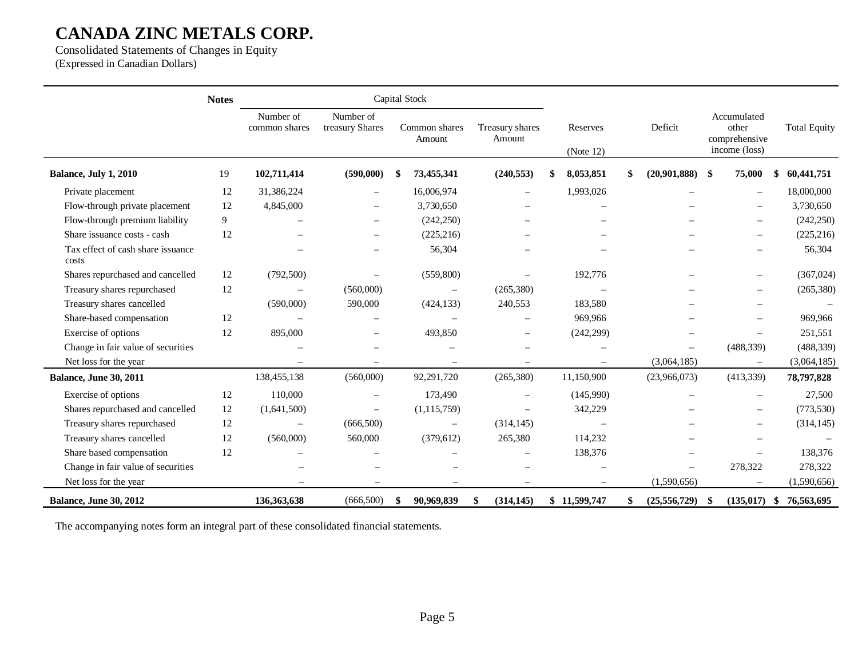Consolidated Statements of Changes in Equity (Expressed in Canadian Dollars)

|                                            | <b>Notes</b> | Capital Stock              |                              |    |                          |    |                          |  |                           |    |                          |     |                          |                           |                                                        |  |                     |
|--------------------------------------------|--------------|----------------------------|------------------------------|----|--------------------------|----|--------------------------|--|---------------------------|----|--------------------------|-----|--------------------------|---------------------------|--------------------------------------------------------|--|---------------------|
|                                            |              | Number of<br>common shares | Number of<br>treasury Shares |    | Common shares<br>Amount  |    |                          |  | Treasury shares<br>Amount |    | Reserves<br>(Note 12)    |     | Deficit                  |                           | Accumulated<br>other<br>comprehensive<br>income (loss) |  | <b>Total Equity</b> |
| <b>Balance, July 1, 2010</b>               | 19           | 102,711,414                | (590,000)                    |    | 73,455,341               |    | (240, 553)               |  | 8,053,851                 |    | (20.901.888)             | -SS | 75,000                   | 60,441,751<br>\$          |                                                        |  |                     |
| Private placement                          | 12           | 31,386,224                 | $\overline{\phantom{m}}$     |    | 16,006,974               |    | $\overline{\phantom{a}}$ |  | 1,993,026                 |    |                          |     |                          | 18,000,000                |                                                        |  |                     |
| Flow-through private placement             | 12           | 4,845,000                  |                              |    | 3,730,650                |    |                          |  |                           |    |                          |     | $\equiv$                 | 3,730,650                 |                                                        |  |                     |
| Flow-through premium liability             | 9            |                            | $\overline{\phantom{0}}$     |    | (242, 250)               |    |                          |  |                           |    |                          |     | $\overline{\phantom{0}}$ | (242, 250)                |                                                        |  |                     |
| Share issuance costs - cash                | 12           |                            | $\qquad \qquad -$            |    | (225, 216)               |    |                          |  |                           |    |                          |     | $\overline{\phantom{0}}$ | (225, 216)                |                                                        |  |                     |
| Tax effect of cash share issuance<br>costs |              |                            |                              |    | 56,304                   |    |                          |  |                           |    |                          |     |                          | 56,304                    |                                                        |  |                     |
| Shares repurchased and cancelled           | 12           | (792, 500)                 | $\overline{\phantom{0}}$     |    | (559, 800)               |    |                          |  | 192,776                   |    |                          |     |                          | (367, 024)                |                                                        |  |                     |
| Treasury shares repurchased                | 12           | $\qquad \qquad -$          | (560,000)                    |    | $\equiv$                 |    | (265, 380)               |  |                           |    |                          |     | $\equiv$                 | (265, 380)                |                                                        |  |                     |
| Treasury shares cancelled                  |              | (590,000)                  | 590,000                      |    | (424, 133)               |    | 240,553                  |  | 183,580                   |    |                          |     | $\overline{\phantom{0}}$ |                           |                                                        |  |                     |
| Share-based compensation                   | 12           |                            |                              |    |                          |    |                          |  | 969,966                   |    |                          |     |                          | 969.966                   |                                                        |  |                     |
| Exercise of options                        | 12           | 895,000                    | $\overline{\phantom{m}}$     |    | 493,850                  |    |                          |  | (242, 299)                |    |                          |     |                          | 251,551                   |                                                        |  |                     |
| Change in fair value of securities         |              |                            |                              |    |                          |    |                          |  |                           |    |                          |     | (488, 339)               | (488, 339)                |                                                        |  |                     |
| Net loss for the year                      |              |                            | $\equiv$                     |    |                          |    |                          |  |                           |    | (3,064,185)              |     | $\overline{\phantom{m}}$ | (3,064,185)               |                                                        |  |                     |
| <b>Balance, June 30, 2011</b>              |              | 138,455,138                | (560,000)                    |    | 92,291,720               |    | (265, 380)               |  | 11,150,900                |    | (23,966,073)             |     | (413, 339)               | 78,797,828                |                                                        |  |                     |
| Exercise of options                        | 12           | 110,000                    | $\qquad \qquad -$            |    | 173.490                  |    | $\overline{\phantom{a}}$ |  | (145,990)                 |    | $\overline{\phantom{0}}$ |     | $\overline{\phantom{m}}$ | 27,500                    |                                                        |  |                     |
| Shares repurchased and cancelled           | 12           | (1,641,500)                | $\qquad \qquad -$            |    | (1,115,759)              |    |                          |  | 342,229                   |    |                          |     | $\overline{\phantom{0}}$ | (773, 530)                |                                                        |  |                     |
| Treasury shares repurchased                | 12           | $\overline{\phantom{m}}$   | (666,500)                    |    | $\overline{\phantom{m}}$ |    | (314, 145)               |  |                           |    |                          |     |                          | (314, 145)                |                                                        |  |                     |
| Treasury shares cancelled                  | 12           | (560,000)                  | 560,000                      |    | (379, 612)               |    | 265,380                  |  | 114,232                   |    |                          |     | $\equiv$                 |                           |                                                        |  |                     |
| Share based compensation                   | 12           | $\overline{\phantom{0}}$   |                              |    |                          |    |                          |  | 138,376                   |    |                          |     | $\equiv$                 | 138,376                   |                                                        |  |                     |
| Change in fair value of securities         |              |                            |                              |    |                          |    |                          |  |                           |    |                          |     | 278,322                  | 278,322                   |                                                        |  |                     |
| Net loss for the year                      |              |                            |                              |    |                          |    |                          |  |                           |    | (1,590,656)              |     |                          | (1,590,656)               |                                                        |  |                     |
| <b>Balance, June 30, 2012</b>              |              | 136,363,638                | (666, 500)                   | \$ | 90,969,839               | \$ | (314, 145)               |  | \$11,599,747              | \$ | $(25,556,729)$ \$        |     |                          | $(135,017)$ \$ 76,563,695 |                                                        |  |                     |

The accompanying notes form an integral part of these consolidated financial statements.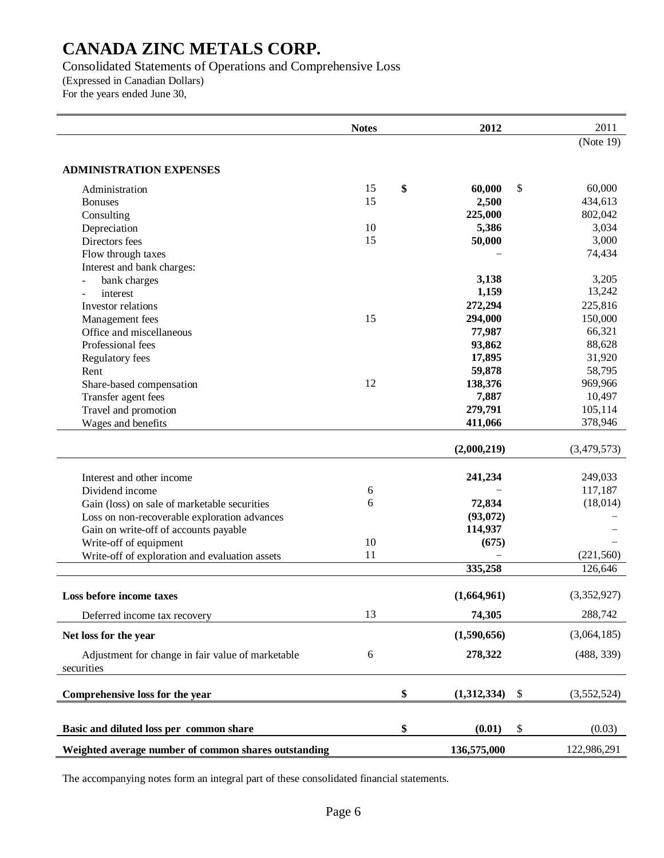Consolidated Statements of Operations and Comprehensive Loss

(Expressed in Canadian Dollars)

For the years ended June 30,

|                                                                 | <b>Notes</b> | 2012              | 2011              |
|-----------------------------------------------------------------|--------------|-------------------|-------------------|
|                                                                 |              |                   | (Note 19)         |
| <b>ADMINISTRATION EXPENSES</b>                                  |              |                   |                   |
| Administration                                                  | 15           | \$<br>60,000      | \$<br>60,000      |
| <b>Bonuses</b>                                                  | 15           | 2,500             | 434,613           |
| Consulting                                                      |              | 225,000           | 802,042           |
| Depreciation                                                    | 10           | 5,386             | 3,034             |
| Directors fees                                                  | 15           | 50,000            | 3,000             |
| Flow through taxes                                              |              |                   | 74,434            |
| Interest and bank charges:                                      |              |                   |                   |
| bank charges                                                    |              | 3,138             | 3,205             |
| interest                                                        |              | 1,159             | 13,242            |
| Investor relations                                              |              | 272,294           | 225,816           |
| Management fees                                                 | 15           | 294,000           | 150,000           |
| Office and miscellaneous                                        |              | 77,987            | 66,321            |
| Professional fees                                               |              | 93,862            | 88,628            |
| Regulatory fees                                                 |              | 17,895            | 31,920            |
| Rent                                                            |              | 59,878            | 58,795            |
| Share-based compensation                                        | 12           | 138,376           | 969,966           |
| Transfer agent fees                                             |              | 7,887             | 10,497            |
| Travel and promotion                                            |              | 279,791           | 105,114           |
| Wages and benefits                                              |              | 411,066           | 378,946           |
|                                                                 |              |                   |                   |
|                                                                 |              | (2,000,219)       | (3,479,573)       |
| Interest and other income                                       |              | 241,234           | 249,033           |
| Dividend income                                                 | 6            |                   | 117,187           |
| Gain (loss) on sale of marketable securities                    | 6            | 72,834            | (18,014)          |
| Loss on non-recoverable exploration advances                    |              | (93,072)          |                   |
| Gain on write-off of accounts payable                           |              | 114,937           |                   |
| Write-off of equipment                                          | 10           | (675)             |                   |
| Write-off of exploration and evaluation assets                  | 11           |                   | (221, 560)        |
|                                                                 |              | 335,258           | 126,646           |
| Loss before income taxes                                        |              | (1,664,961)       | (3,352,927)       |
| Deferred income tax recovery                                    | 13           | 74,305            | 288,742           |
| Net loss for the year                                           |              | (1,590,656)       | (3,064,185)       |
|                                                                 |              |                   |                   |
| Adjustment for change in fair value of marketable<br>securities | 6            | 278,322           | (488, 339)        |
| Comprehensive loss for the year                                 |              | \$<br>(1,312,334) | \$<br>(3,552,524) |
|                                                                 |              |                   |                   |
| Basic and diluted loss per common share                         |              | \$<br>(0.01)      | \$<br>(0.03)      |
| Weighted average number of common shares outstanding            |              | 136,575,000       | 122,986,291       |

The accompanying notes form an integral part of these consolidated financial statements.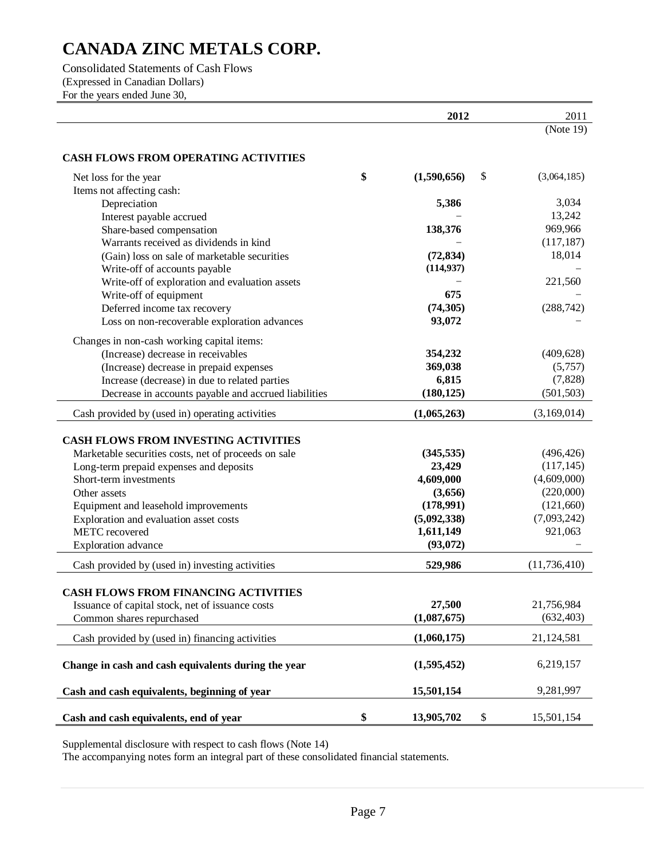Consolidated Statements of Cash Flows (Expressed in Canadian Dollars) For the years ended June 30,

|                                                      | 2012                    | 2011           |
|------------------------------------------------------|-------------------------|----------------|
|                                                      |                         | (Note 19)      |
|                                                      |                         |                |
| <b>CASH FLOWS FROM OPERATING ACTIVITIES</b>          |                         |                |
| Net loss for the year                                | \$<br>(1,590,656)<br>\$ | (3,064,185)    |
| Items not affecting cash:                            |                         |                |
| Depreciation                                         | 5,386                   | 3,034          |
| Interest payable accrued                             |                         | 13,242         |
| Share-based compensation                             | 138,376                 | 969,966        |
| Warrants received as dividends in kind               |                         | (117, 187)     |
| (Gain) loss on sale of marketable securities         | (72, 834)               | 18,014         |
| Write-off of accounts payable                        | (114, 937)              |                |
| Write-off of exploration and evaluation assets       |                         | 221,560        |
| Write-off of equipment                               | 675                     |                |
| Deferred income tax recovery                         | (74, 305)               | (288, 742)     |
| Loss on non-recoverable exploration advances         | 93,072                  |                |
|                                                      |                         |                |
| Changes in non-cash working capital items:           |                         |                |
| (Increase) decrease in receivables                   | 354,232                 | (409, 628)     |
| (Increase) decrease in prepaid expenses              | 369,038                 | (5,757)        |
| Increase (decrease) in due to related parties        | 6,815                   | (7,828)        |
| Decrease in accounts payable and accrued liabilities | (180, 125)              | (501, 503)     |
| Cash provided by (used in) operating activities      | (1,065,263)             | (3,169,014)    |
|                                                      |                         |                |
| <b>CASH FLOWS FROM INVESTING ACTIVITIES</b>          |                         |                |
| Marketable securities costs, net of proceeds on sale | (345, 535)              | (496, 426)     |
| Long-term prepaid expenses and deposits              | 23,429                  | (117, 145)     |
| Short-term investments                               | 4,609,000               | (4,609,000)    |
| Other assets                                         | (3,656)                 | (220,000)      |
| Equipment and leasehold improvements                 | (178,991)               | (121,660)      |
| Exploration and evaluation asset costs               | (5,092,338)             | (7,093,242)    |
| METC recovered                                       | 1,611,149               | 921,063        |
| <b>Exploration</b> advance                           | (93,072)                |                |
| Cash provided by (used in) investing activities      | 529,986                 | (11, 736, 410) |
|                                                      |                         |                |
| <b>CASH FLOWS FROM FINANCING ACTIVITIES</b>          |                         |                |
| Issuance of capital stock, net of issuance costs     | 27,500                  | 21,756,984     |
| Common shares repurchased                            | (1,087,675)             | (632, 403)     |
| Cash provided by (used in) financing activities      | (1,060,175)             | 21,124,581     |
| Change in cash and cash equivalents during the year  | (1,595,452)             | 6,219,157      |
|                                                      |                         |                |
| Cash and cash equivalents, beginning of year         | 15,501,154              | 9,281,997      |
| Cash and cash equivalents, end of year               | \$<br>\$<br>13,905,702  | 15,501,154     |

Supplemental disclosure with respect to cash flows (Note 14)

The accompanying notes form an integral part of these consolidated financial statements.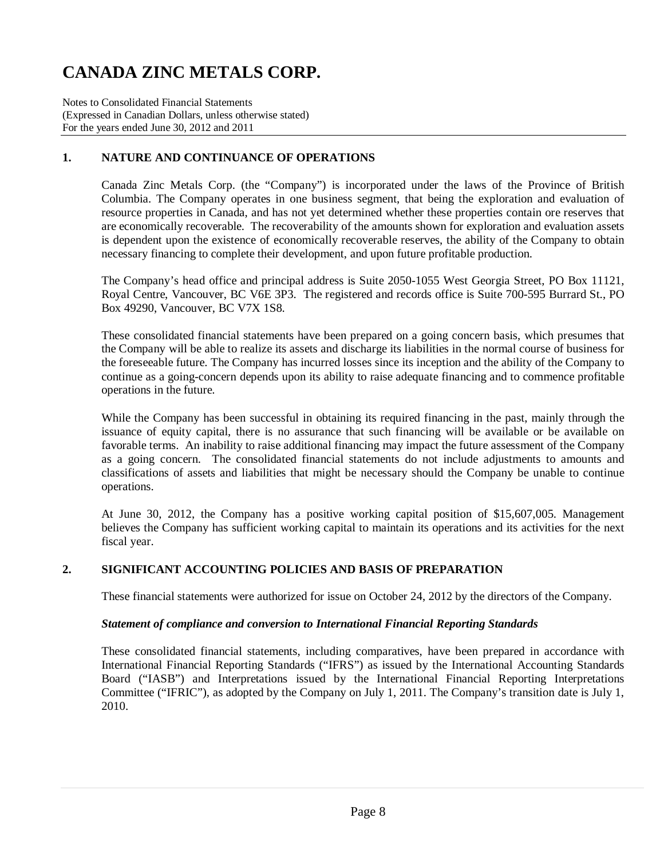Notes to Consolidated Financial Statements (Expressed in Canadian Dollars, unless otherwise stated) For the years ended June 30, 2012 and 2011

### **1. NATURE AND CONTINUANCE OF OPERATIONS**

Canada Zinc Metals Corp. (the "Company") is incorporated under the laws of the Province of British Columbia. The Company operates in one business segment, that being the exploration and evaluation of resource properties in Canada, and has not yet determined whether these properties contain ore reserves that are economically recoverable. The recoverability of the amounts shown for exploration and evaluation assets is dependent upon the existence of economically recoverable reserves, the ability of the Company to obtain necessary financing to complete their development, and upon future profitable production.

The Company's head office and principal address is Suite 2050-1055 West Georgia Street, PO Box 11121, Royal Centre, Vancouver, BC V6E 3P3. The registered and records office is Suite 700-595 Burrard St., PO Box 49290, Vancouver, BC V7X 1S8.

These consolidated financial statements have been prepared on a going concern basis, which presumes that the Company will be able to realize its assets and discharge its liabilities in the normal course of business for the foreseeable future. The Company has incurred losses since its inception and the ability of the Company to continue as a going-concern depends upon its ability to raise adequate financing and to commence profitable operations in the future.

While the Company has been successful in obtaining its required financing in the past, mainly through the issuance of equity capital, there is no assurance that such financing will be available or be available on favorable terms. An inability to raise additional financing may impact the future assessment of the Company as a going concern. The consolidated financial statements do not include adjustments to amounts and classifications of assets and liabilities that might be necessary should the Company be unable to continue operations.

At June 30, 2012, the Company has a positive working capital position of \$15,607,005. Management believes the Company has sufficient working capital to maintain its operations and its activities for the next fiscal year.

### **2. SIGNIFICANT ACCOUNTING POLICIES AND BASIS OF PREPARATION**

These financial statements were authorized for issue on October 24, 2012 by the directors of the Company.

#### *Statement of compliance and conversion to International Financial Reporting Standards*

These consolidated financial statements, including comparatives, have been prepared in accordance with International Financial Reporting Standards ("IFRS") as issued by the International Accounting Standards Board ("IASB") and Interpretations issued by the International Financial Reporting Interpretations Committee ("IFRIC"), as adopted by the Company on July 1, 2011. The Company's transition date is July 1, 2010.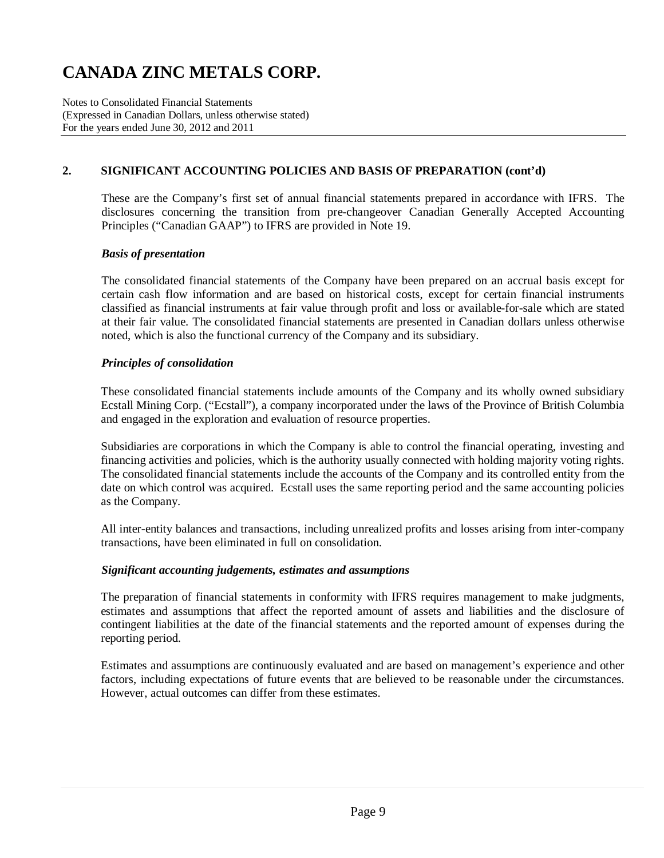Notes to Consolidated Financial Statements (Expressed in Canadian Dollars, unless otherwise stated) For the years ended June 30, 2012 and 2011

### **2. SIGNIFICANT ACCOUNTING POLICIES AND BASIS OF PREPARATION (cont'd)**

These are the Company's first set of annual financial statements prepared in accordance with IFRS. The disclosures concerning the transition from pre-changeover Canadian Generally Accepted Accounting Principles ("Canadian GAAP") to IFRS are provided in Note 19.

### *Basis of presentation*

The consolidated financial statements of the Company have been prepared on an accrual basis except for certain cash flow information and are based on historical costs, except for certain financial instruments classified as financial instruments at fair value through profit and loss or available-for-sale which are stated at their fair value. The consolidated financial statements are presented in Canadian dollars unless otherwise noted, which is also the functional currency of the Company and its subsidiary.

### *Principles of consolidation*

These consolidated financial statements include amounts of the Company and its wholly owned subsidiary Ecstall Mining Corp. ("Ecstall"), a company incorporated under the laws of the Province of British Columbia and engaged in the exploration and evaluation of resource properties.

Subsidiaries are corporations in which the Company is able to control the financial operating, investing and financing activities and policies, which is the authority usually connected with holding majority voting rights. The consolidated financial statements include the accounts of the Company and its controlled entity from the date on which control was acquired. Ecstall uses the same reporting period and the same accounting policies as the Company.

All inter-entity balances and transactions, including unrealized profits and losses arising from inter-company transactions, have been eliminated in full on consolidation.

#### *Significant accounting judgements, estimates and assumptions*

The preparation of financial statements in conformity with IFRS requires management to make judgments, estimates and assumptions that affect the reported amount of assets and liabilities and the disclosure of contingent liabilities at the date of the financial statements and the reported amount of expenses during the reporting period.

Estimates and assumptions are continuously evaluated and are based on management's experience and other factors, including expectations of future events that are believed to be reasonable under the circumstances. However, actual outcomes can differ from these estimates.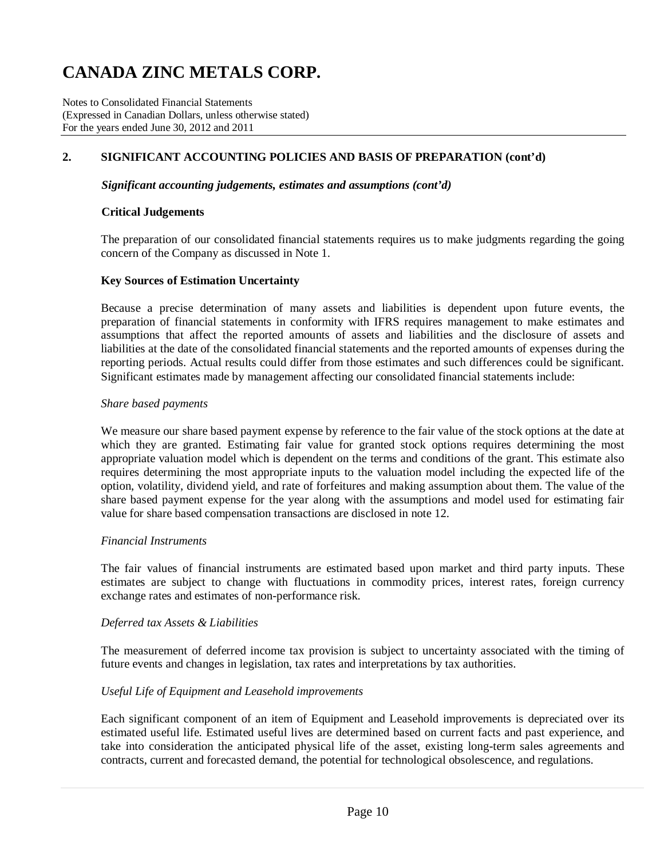Notes to Consolidated Financial Statements (Expressed in Canadian Dollars, unless otherwise stated) For the years ended June 30, 2012 and 2011

### **2. SIGNIFICANT ACCOUNTING POLICIES AND BASIS OF PREPARATION (cont'd)**

#### *Significant accounting judgements, estimates and assumptions (cont'd)*

#### **Critical Judgements**

The preparation of our consolidated financial statements requires us to make judgments regarding the going concern of the Company as discussed in Note 1.

#### **Key Sources of Estimation Uncertainty**

Because a precise determination of many assets and liabilities is dependent upon future events, the preparation of financial statements in conformity with IFRS requires management to make estimates and assumptions that affect the reported amounts of assets and liabilities and the disclosure of assets and liabilities at the date of the consolidated financial statements and the reported amounts of expenses during the reporting periods. Actual results could differ from those estimates and such differences could be significant. Significant estimates made by management affecting our consolidated financial statements include:

#### *Share based payments*

We measure our share based payment expense by reference to the fair value of the stock options at the date at which they are granted. Estimating fair value for granted stock options requires determining the most appropriate valuation model which is dependent on the terms and conditions of the grant. This estimate also requires determining the most appropriate inputs to the valuation model including the expected life of the option, volatility, dividend yield, and rate of forfeitures and making assumption about them. The value of the share based payment expense for the year along with the assumptions and model used for estimating fair value for share based compensation transactions are disclosed in note 12.

#### *Financial Instruments*

The fair values of financial instruments are estimated based upon market and third party inputs. These estimates are subject to change with fluctuations in commodity prices, interest rates, foreign currency exchange rates and estimates of non-performance risk.

#### *Deferred tax Assets & Liabilities*

The measurement of deferred income tax provision is subject to uncertainty associated with the timing of future events and changes in legislation, tax rates and interpretations by tax authorities.

#### *Useful Life of Equipment and Leasehold improvements*

Each significant component of an item of Equipment and Leasehold improvements is depreciated over its estimated useful life. Estimated useful lives are determined based on current facts and past experience, and take into consideration the anticipated physical life of the asset, existing long-term sales agreements and contracts, current and forecasted demand, the potential for technological obsolescence, and regulations.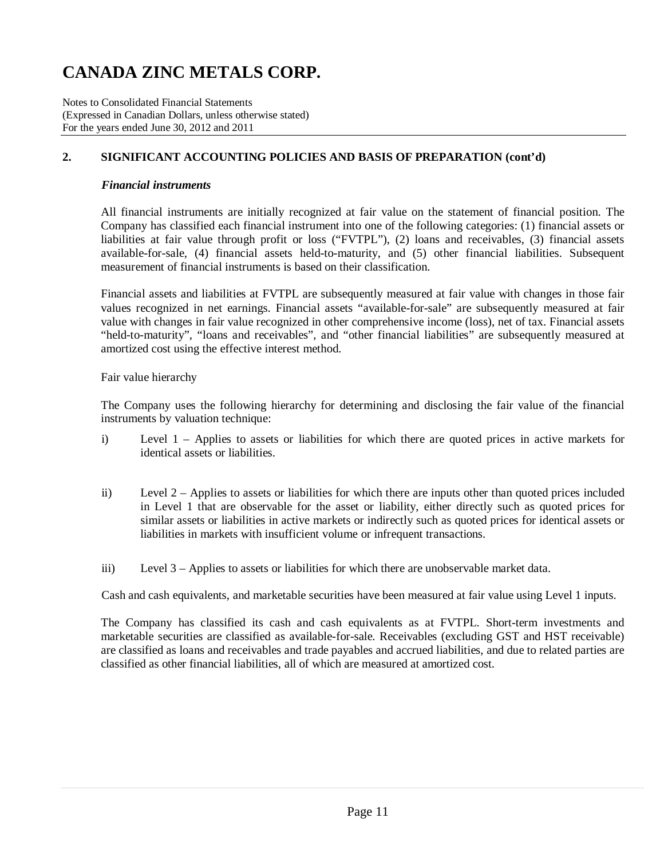Notes to Consolidated Financial Statements (Expressed in Canadian Dollars, unless otherwise stated) For the years ended June 30, 2012 and 2011

### **2. SIGNIFICANT ACCOUNTING POLICIES AND BASIS OF PREPARATION (cont'd)**

### *Financial instruments*

All financial instruments are initially recognized at fair value on the statement of financial position. The Company has classified each financial instrument into one of the following categories: (1) financial assets or liabilities at fair value through profit or loss ("FVTPL"), (2) loans and receivables, (3) financial assets available-for-sale, (4) financial assets held-to-maturity, and (5) other financial liabilities. Subsequent measurement of financial instruments is based on their classification.

Financial assets and liabilities at FVTPL are subsequently measured at fair value with changes in those fair values recognized in net earnings. Financial assets "available-for-sale" are subsequently measured at fair value with changes in fair value recognized in other comprehensive income (loss), net of tax. Financial assets "held-to-maturity", "loans and receivables", and "other financial liabilities" are subsequently measured at amortized cost using the effective interest method.

### Fair value hierarchy

The Company uses the following hierarchy for determining and disclosing the fair value of the financial instruments by valuation technique:

- i) Level 1 Applies to assets or liabilities for which there are quoted prices in active markets for identical assets or liabilities.
- ii) Level 2 Applies to assets or liabilities for which there are inputs other than quoted prices included in Level 1 that are observable for the asset or liability, either directly such as quoted prices for similar assets or liabilities in active markets or indirectly such as quoted prices for identical assets or liabilities in markets with insufficient volume or infrequent transactions.
- iii) Level 3 Applies to assets or liabilities for which there are unobservable market data.

Cash and cash equivalents, and marketable securities have been measured at fair value using Level 1 inputs.

The Company has classified its cash and cash equivalents as at FVTPL. Short-term investments and marketable securities are classified as available-for-sale. Receivables (excluding GST and HST receivable) are classified as loans and receivables and trade payables and accrued liabilities, and due to related parties are classified as other financial liabilities, all of which are measured at amortized cost.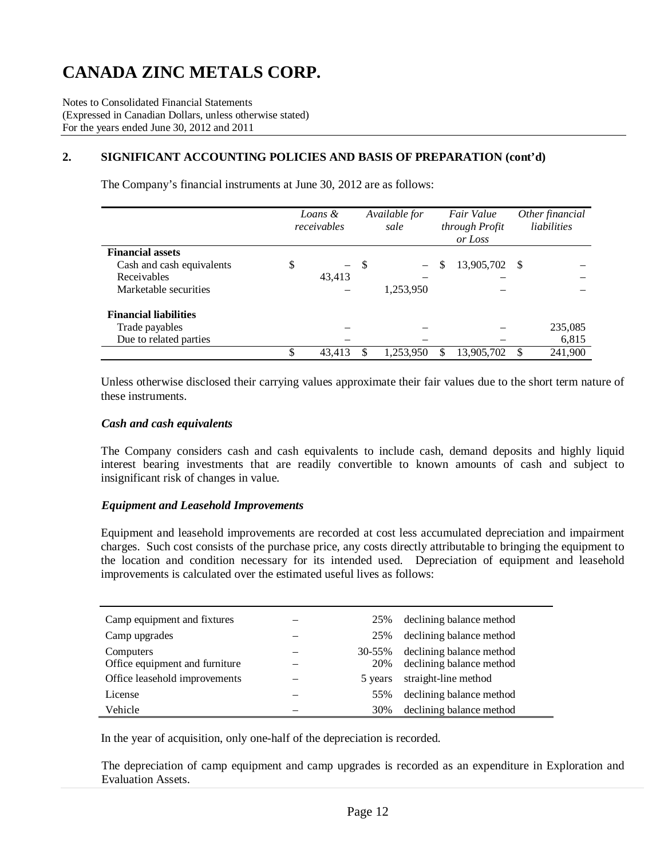Notes to Consolidated Financial Statements (Expressed in Canadian Dollars, unless otherwise stated) For the years ended June 30, 2012 and 2011

### **2. SIGNIFICANT ACCOUNTING POLICIES AND BASIS OF PREPARATION (cont'd)**

The Company's financial instruments at June 30, 2012 are as follows:

|                              | Loans &<br>receivables |        | Available for<br>sale |               | Fair Value<br>through Profit<br>or Loss | Other financial<br>liabilities |         |
|------------------------------|------------------------|--------|-----------------------|---------------|-----------------------------------------|--------------------------------|---------|
| <b>Financial assets</b>      |                        |        |                       |               |                                         |                                |         |
| Cash and cash equivalents    | \$                     | $-$ \$ | $-$                   | <sup>\$</sup> | 13,905,702                              | - S                            |         |
| Receivables                  | 43,413                 |        |                       |               |                                         |                                |         |
| Marketable securities        |                        |        | 1,253,950             |               |                                         |                                |         |
| <b>Financial liabilities</b> |                        |        |                       |               |                                         |                                |         |
| Trade payables               |                        |        |                       |               |                                         |                                | 235,085 |
| Due to related parties       |                        |        |                       |               |                                         |                                | 6,815   |
|                              | 43.413                 |        | 1,253,950             | S             | 13,905,702                              | \$.                            | 241,900 |

Unless otherwise disclosed their carrying values approximate their fair values due to the short term nature of these instruments.

#### *Cash and cash equivalents*

The Company considers cash and cash equivalents to include cash, demand deposits and highly liquid interest bearing investments that are readily convertible to known amounts of cash and subject to insignificant risk of changes in value.

#### *Equipment and Leasehold Improvements*

Equipment and leasehold improvements are recorded at cost less accumulated depreciation and impairment charges. Such cost consists of the purchase price, any costs directly attributable to bringing the equipment to the location and condition necessary for its intended used. Depreciation of equipment and leasehold improvements is calculated over the estimated useful lives as follows:

| Camp equipment and fixtures                 | 25%           | declining balance method                             |
|---------------------------------------------|---------------|------------------------------------------------------|
| Camp upgrades                               | 25%           | declining balance method                             |
| Computers<br>Office equipment and furniture | 30-55%<br>20% | declining balance method<br>declining balance method |
| Office leasehold improvements               | 5 years       | straight-line method                                 |
| License                                     | 55%           | declining balance method                             |
| Vehicle                                     | 30%           | declining balance method                             |

In the year of acquisition, only one-half of the depreciation is recorded.

The depreciation of camp equipment and camp upgrades is recorded as an expenditure in Exploration and Evaluation Assets.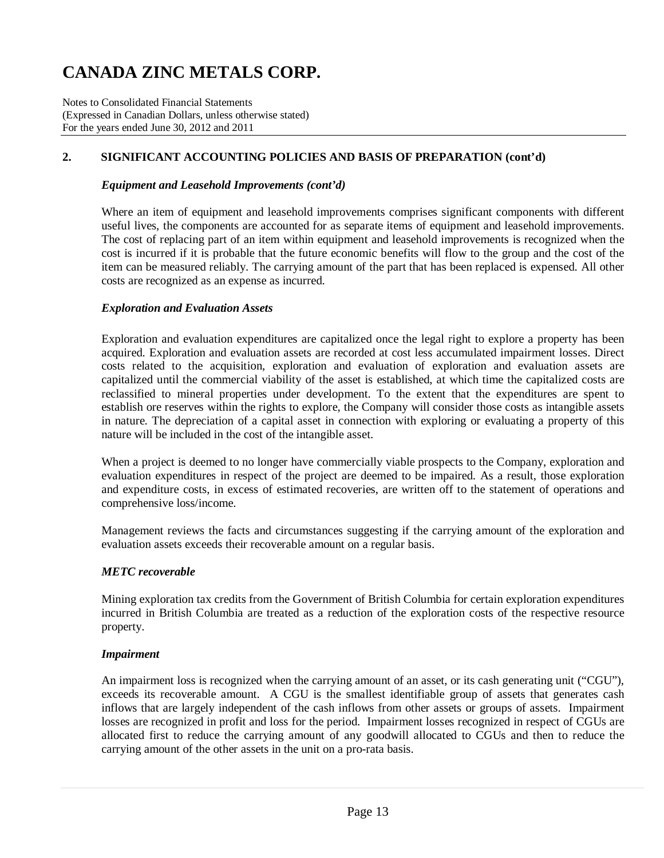Notes to Consolidated Financial Statements (Expressed in Canadian Dollars, unless otherwise stated) For the years ended June 30, 2012 and 2011

### **2. SIGNIFICANT ACCOUNTING POLICIES AND BASIS OF PREPARATION (cont'd)**

#### *Equipment and Leasehold Improvements (cont'd)*

Where an item of equipment and leasehold improvements comprises significant components with different useful lives, the components are accounted for as separate items of equipment and leasehold improvements. The cost of replacing part of an item within equipment and leasehold improvements is recognized when the cost is incurred if it is probable that the future economic benefits will flow to the group and the cost of the item can be measured reliably. The carrying amount of the part that has been replaced is expensed. All other costs are recognized as an expense as incurred.

#### *Exploration and Evaluation Assets*

Exploration and evaluation expenditures are capitalized once the legal right to explore a property has been acquired. Exploration and evaluation assets are recorded at cost less accumulated impairment losses. Direct costs related to the acquisition, exploration and evaluation of exploration and evaluation assets are capitalized until the commercial viability of the asset is established, at which time the capitalized costs are reclassified to mineral properties under development. To the extent that the expenditures are spent to establish ore reserves within the rights to explore, the Company will consider those costs as intangible assets in nature. The depreciation of a capital asset in connection with exploring or evaluating a property of this nature will be included in the cost of the intangible asset.

When a project is deemed to no longer have commercially viable prospects to the Company, exploration and evaluation expenditures in respect of the project are deemed to be impaired. As a result, those exploration and expenditure costs, in excess of estimated recoveries, are written off to the statement of operations and comprehensive loss/income.

Management reviews the facts and circumstances suggesting if the carrying amount of the exploration and evaluation assets exceeds their recoverable amount on a regular basis.

#### *METC recoverable*

Mining exploration tax credits from the Government of British Columbia for certain exploration expenditures incurred in British Columbia are treated as a reduction of the exploration costs of the respective resource property.

#### *Impairment*

An impairment loss is recognized when the carrying amount of an asset, or its cash generating unit ("CGU"), exceeds its recoverable amount. A CGU is the smallest identifiable group of assets that generates cash inflows that are largely independent of the cash inflows from other assets or groups of assets. Impairment losses are recognized in profit and loss for the period. Impairment losses recognized in respect of CGUs are allocated first to reduce the carrying amount of any goodwill allocated to CGUs and then to reduce the carrying amount of the other assets in the unit on a pro-rata basis.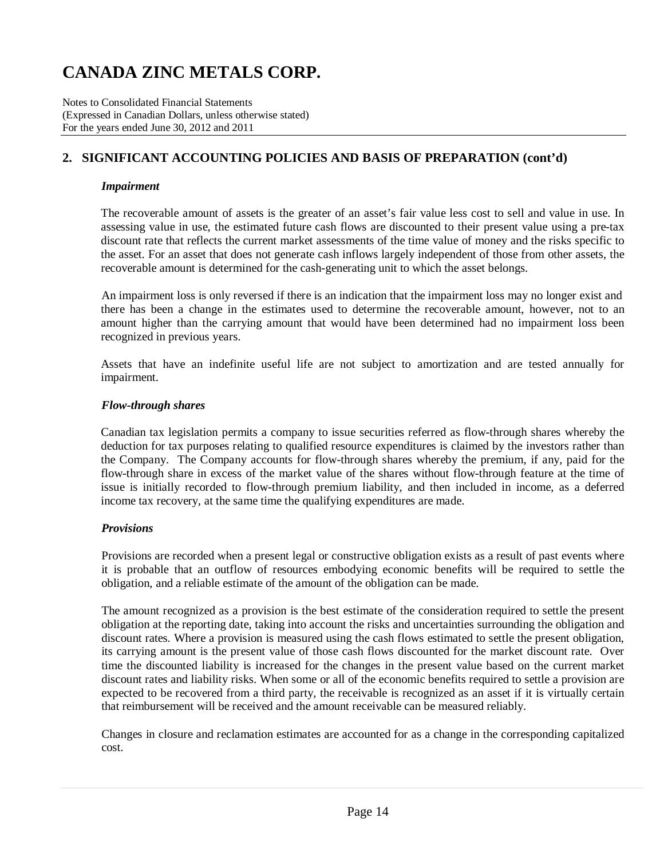Notes to Consolidated Financial Statements (Expressed in Canadian Dollars, unless otherwise stated) For the years ended June 30, 2012 and 2011

### **2. SIGNIFICANT ACCOUNTING POLICIES AND BASIS OF PREPARATION (cont'd)**

### *Impairment*

The recoverable amount of assets is the greater of an asset's fair value less cost to sell and value in use. In assessing value in use, the estimated future cash flows are discounted to their present value using a pre-tax discount rate that reflects the current market assessments of the time value of money and the risks specific to the asset. For an asset that does not generate cash inflows largely independent of those from other assets, the recoverable amount is determined for the cash-generating unit to which the asset belongs.

An impairment loss is only reversed if there is an indication that the impairment loss may no longer exist and there has been a change in the estimates used to determine the recoverable amount, however, not to an amount higher than the carrying amount that would have been determined had no impairment loss been recognized in previous years.

Assets that have an indefinite useful life are not subject to amortization and are tested annually for impairment.

### *Flow-through shares*

Canadian tax legislation permits a company to issue securities referred as flow-through shares whereby the deduction for tax purposes relating to qualified resource expenditures is claimed by the investors rather than the Company. The Company accounts for flow-through shares whereby the premium, if any, paid for the flow-through share in excess of the market value of the shares without flow-through feature at the time of issue is initially recorded to flow-through premium liability, and then included in income, as a deferred income tax recovery, at the same time the qualifying expenditures are made.

### *Provisions*

Provisions are recorded when a present legal or constructive obligation exists as a result of past events where it is probable that an outflow of resources embodying economic benefits will be required to settle the obligation, and a reliable estimate of the amount of the obligation can be made.

The amount recognized as a provision is the best estimate of the consideration required to settle the present obligation at the reporting date, taking into account the risks and uncertainties surrounding the obligation and discount rates. Where a provision is measured using the cash flows estimated to settle the present obligation, its carrying amount is the present value of those cash flows discounted for the market discount rate. Over time the discounted liability is increased for the changes in the present value based on the current market discount rates and liability risks. When some or all of the economic benefits required to settle a provision are expected to be recovered from a third party, the receivable is recognized as an asset if it is virtually certain that reimbursement will be received and the amount receivable can be measured reliably.

Changes in closure and reclamation estimates are accounted for as a change in the corresponding capitalized cost.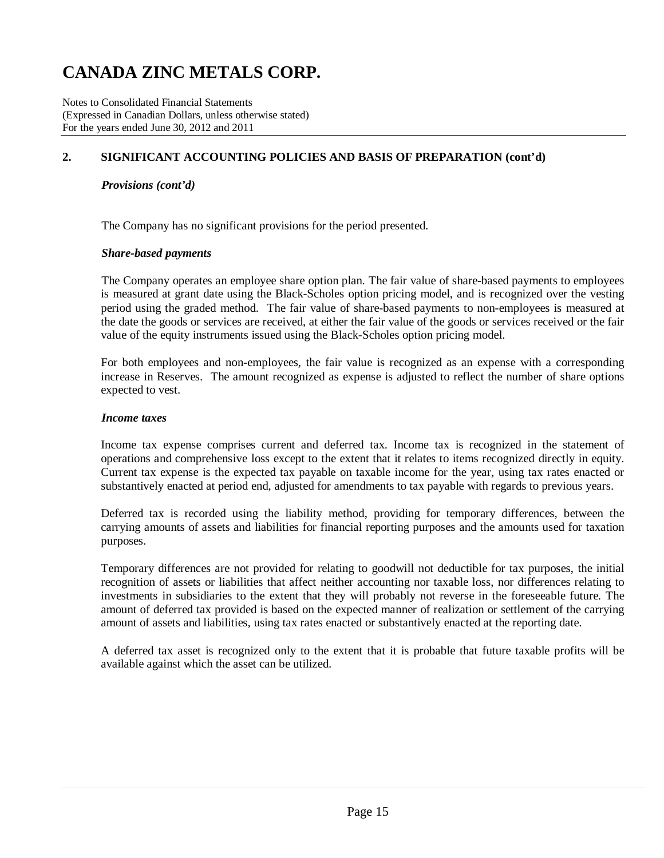Notes to Consolidated Financial Statements (Expressed in Canadian Dollars, unless otherwise stated) For the years ended June 30, 2012 and 2011

### **2. SIGNIFICANT ACCOUNTING POLICIES AND BASIS OF PREPARATION (cont'd)**

### *Provisions (cont'd)*

The Company has no significant provisions for the period presented.

### *Share-based payments*

The Company operates an employee share option plan. The fair value of share-based payments to employees is measured at grant date using the Black-Scholes option pricing model, and is recognized over the vesting period using the graded method. The fair value of share-based payments to non-employees is measured at the date the goods or services are received, at either the fair value of the goods or services received or the fair value of the equity instruments issued using the Black-Scholes option pricing model.

For both employees and non-employees, the fair value is recognized as an expense with a corresponding increase in Reserves. The amount recognized as expense is adjusted to reflect the number of share options expected to vest.

### *Income taxes*

Income tax expense comprises current and deferred tax. Income tax is recognized in the statement of operations and comprehensive loss except to the extent that it relates to items recognized directly in equity. Current tax expense is the expected tax payable on taxable income for the year, using tax rates enacted or substantively enacted at period end, adjusted for amendments to tax payable with regards to previous years.

Deferred tax is recorded using the liability method, providing for temporary differences, between the carrying amounts of assets and liabilities for financial reporting purposes and the amounts used for taxation purposes.

Temporary differences are not provided for relating to goodwill not deductible for tax purposes, the initial recognition of assets or liabilities that affect neither accounting nor taxable loss, nor differences relating to investments in subsidiaries to the extent that they will probably not reverse in the foreseeable future. The amount of deferred tax provided is based on the expected manner of realization or settlement of the carrying amount of assets and liabilities, using tax rates enacted or substantively enacted at the reporting date.

A deferred tax asset is recognized only to the extent that it is probable that future taxable profits will be available against which the asset can be utilized.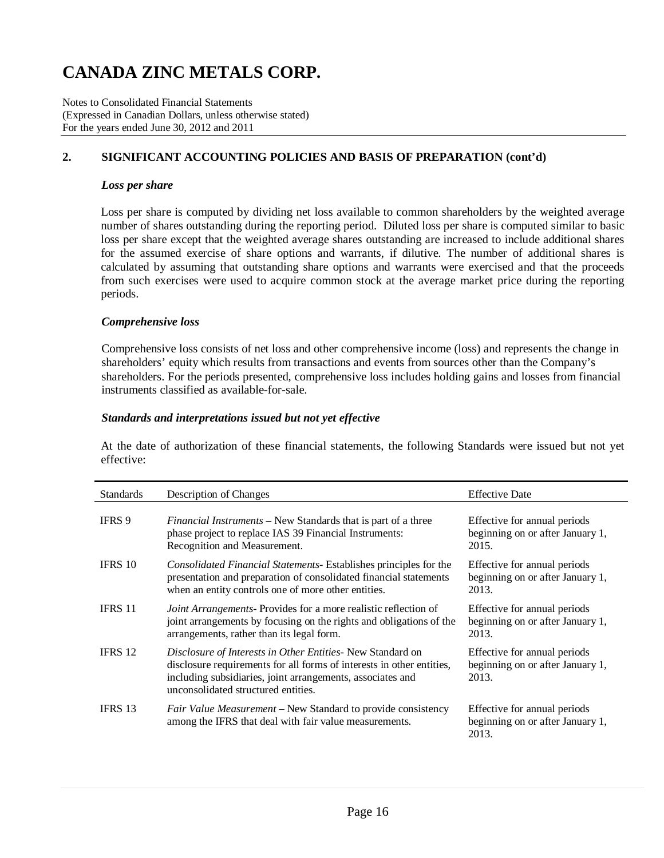Notes to Consolidated Financial Statements (Expressed in Canadian Dollars, unless otherwise stated) For the years ended June 30, 2012 and 2011

### **2. SIGNIFICANT ACCOUNTING POLICIES AND BASIS OF PREPARATION (cont'd)**

#### *Loss per share*

Loss per share is computed by dividing net loss available to common shareholders by the weighted average number of shares outstanding during the reporting period. Diluted loss per share is computed similar to basic loss per share except that the weighted average shares outstanding are increased to include additional shares for the assumed exercise of share options and warrants, if dilutive. The number of additional shares is calculated by assuming that outstanding share options and warrants were exercised and that the proceeds from such exercises were used to acquire common stock at the average market price during the reporting periods.

#### *Comprehensive loss*

Comprehensive loss consists of net loss and other comprehensive income (loss) and represents the change in shareholders' equity which results from transactions and events from sources other than the Company's shareholders. For the periods presented, comprehensive loss includes holding gains and losses from financial instruments classified as available-for-sale.

### *Standards and interpretations issued but not yet effective*

At the date of authorization of these financial statements, the following Standards were issued but not yet effective:

| <b>Standards</b> | Description of Changes                                                                                                                                                                                                                  | <b>Effective Date</b>                                                     |
|------------------|-----------------------------------------------------------------------------------------------------------------------------------------------------------------------------------------------------------------------------------------|---------------------------------------------------------------------------|
| <b>IFRS 9</b>    | Financial Instruments – New Standards that is part of a three<br>phase project to replace IAS 39 Financial Instruments:<br>Recognition and Measurement.                                                                                 | Effective for annual periods<br>beginning on or after January 1,<br>2015. |
| <b>IFRS 10</b>   | Consolidated Financial Statements- Establishes principles for the<br>presentation and preparation of consolidated financial statements<br>when an entity controls one of more other entities.                                           | Effective for annual periods<br>beginning on or after January 1,<br>2013. |
| <b>IFRS 11</b>   | <i>Joint Arrangements-Provides for a more realistic reflection of</i><br>joint arrangements by focusing on the rights and obligations of the<br>arrangements, rather than its legal form.                                               | Effective for annual periods<br>beginning on or after January 1,<br>2013. |
| IFRS 12          | Disclosure of Interests in Other Entities-New Standard on<br>disclosure requirements for all forms of interests in other entities,<br>including subsidiaries, joint arrangements, associates and<br>unconsolidated structured entities. | Effective for annual periods<br>beginning on or after January 1,<br>2013. |
| IFRS 13          | Fair Value Measurement – New Standard to provide consistency<br>among the IFRS that deal with fair value measurements.                                                                                                                  | Effective for annual periods<br>beginning on or after January 1,<br>2013. |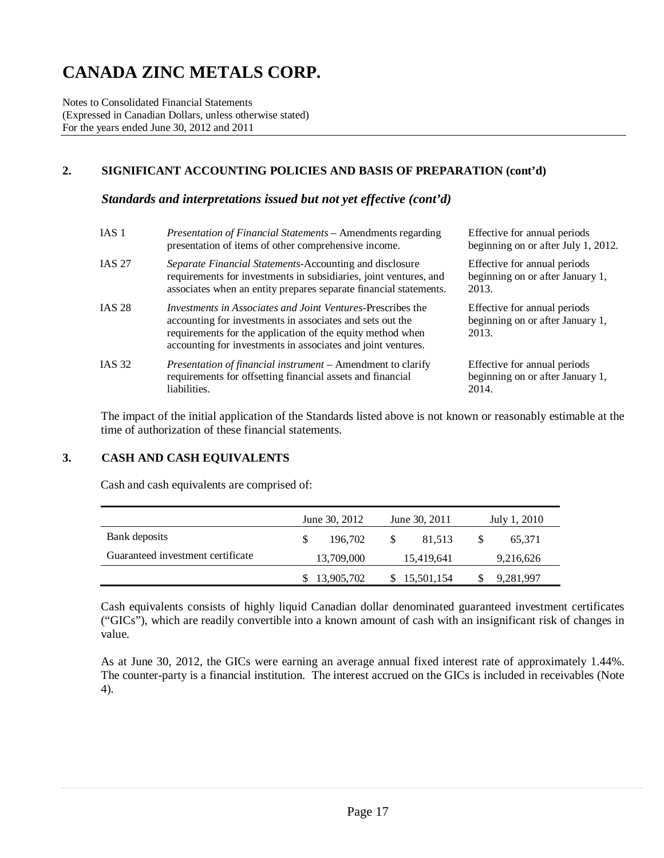Notes to Consolidated Financial Statements (Expressed in Canadian Dollars, unless otherwise stated) For the years ended June 30, 2012 and 2011

### **2. SIGNIFICANT ACCOUNTING POLICIES AND BASIS OF PREPARATION (cont'd)**

### *Standards and interpretations issued but not yet effective (cont'd)*

| IAS 1         | <i>Presentation of Financial Statements – Amendments regarding</i><br>presentation of items of other comprehensive income.                                                                                                                                    | Effective for annual periods<br>beginning on or after July 1, 2012.       |
|---------------|---------------------------------------------------------------------------------------------------------------------------------------------------------------------------------------------------------------------------------------------------------------|---------------------------------------------------------------------------|
| <b>IAS 27</b> | <i>Separate Financial Statements-Accounting and disclosure</i><br>requirements for investments in subsidiaries, joint ventures, and<br>associates when an entity prepares separate financial statements.                                                      | Effective for annual periods<br>beginning on or after January 1,<br>2013. |
| <b>IAS 28</b> | <i>Investments in Associates and Joint Ventures-Prescribes the</i><br>accounting for investments in associates and sets out the<br>requirements for the application of the equity method when<br>accounting for investments in associates and joint ventures. | Effective for annual periods<br>beginning on or after January 1,<br>2013. |
| <b>IAS 32</b> | <i>Presentation of financial instrument</i> – Amendment to clarify<br>requirements for offsetting financial assets and financial<br>liabilities.                                                                                                              | Effective for annual periods<br>beginning on or after January 1,<br>2014. |

The impact of the initial application of the Standards listed above is not known or reasonably estimable at the time of authorization of these financial statements.

### **3. CASH AND CASH EQUIVALENTS**

Cash and cash equivalents are comprised of:

|                                   | June 30, 2012 |              |              | June 30, 2011 | July 1, 2010 |           |  |
|-----------------------------------|---------------|--------------|--------------|---------------|--------------|-----------|--|
| Bank deposits                     |               | 196.702      | <sup>S</sup> | 81.513        | \$.          | 65.371    |  |
| Guaranteed investment certificate |               | 13,709,000   |              | 15.419.641    |              | 9,216,626 |  |
|                                   |               | \$13,905,702 |              | \$15,501,154  |              | 9,281,997 |  |

Cash equivalents consists of highly liquid Canadian dollar denominated guaranteed investment certificates ("GICs"), which are readily convertible into a known amount of cash with an insignificant risk of changes in value.

As at June 30, 2012, the GICs were earning an average annual fixed interest rate of approximately 1.44%. The counter-party is a financial institution. The interest accrued on the GICs is included in receivables (Note 4).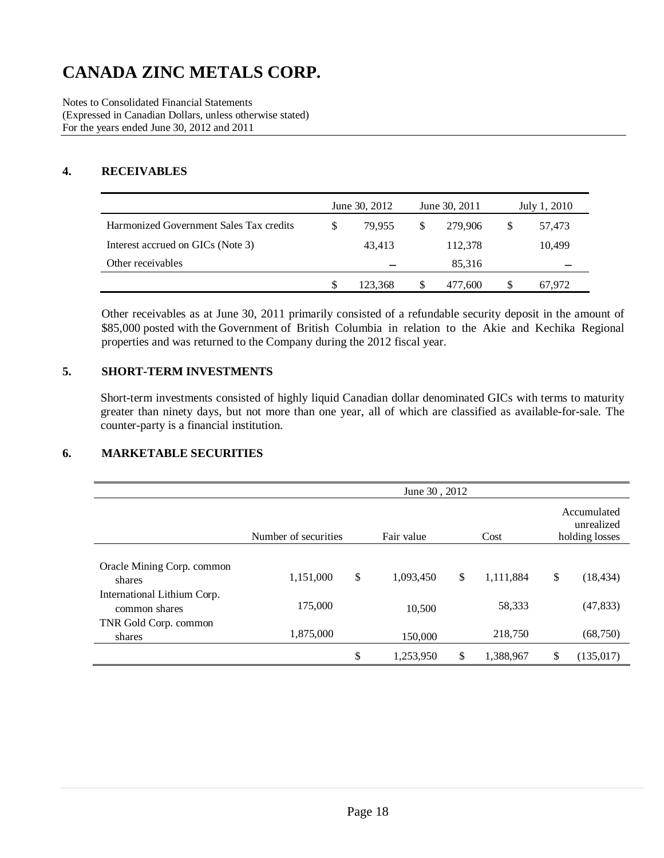Notes to Consolidated Financial Statements (Expressed in Canadian Dollars, unless otherwise stated) For the years ended June 30, 2012 and 2011

### **4. RECEIVABLES**

|                                         |   | June 30, 2012 | June 30, 2011 | July 1, 2010 |        |  |
|-----------------------------------------|---|---------------|---------------|--------------|--------|--|
| Harmonized Government Sales Tax credits | S | 79.955        | 279,906       |              | 57.473 |  |
| Interest accrued on GICs (Note 3)       |   | 43.413        | 112,378       |              | 10.499 |  |
| Other receivables                       |   |               | 85.316        |              |        |  |
|                                         |   | 123.368       | 477,600       | S            | 67.972 |  |

Other receivables as at June 30, 2011 primarily consisted of a refundable security deposit in the amount of \$85,000 posted with the Government of British Columbia in relation to the Akie and Kechika Regional properties and was returned to the Company during the 2012 fiscal year.

### **5. SHORT-TERM INVESTMENTS**

Short-term investments consisted of highly liquid Canadian dollar denominated GICs with terms to maturity greater than ninety days, but not more than one year, all of which are classified as available-for-sale. The counter-party is a financial institution.

### **6. MARKETABLE SECURITIES**

|                                              |                      | June 30, 2012   |                 |                                             |
|----------------------------------------------|----------------------|-----------------|-----------------|---------------------------------------------|
|                                              | Number of securities | Fair value      | Cost            | Accumulated<br>unrealized<br>holding losses |
|                                              |                      |                 |                 |                                             |
| Oracle Mining Corp. common<br>shares         | 1,151,000            | \$<br>1,093,450 | \$<br>1,111,884 | \$<br>(18, 434)                             |
| International Lithium Corp.<br>common shares | 175,000              | 10,500          | 58,333          | (47, 833)                                   |
| TNR Gold Corp. common<br>shares              | 1,875,000            | 150,000         | 218,750         | (68,750)                                    |
|                                              |                      | \$<br>1,253,950 | \$<br>1,388,967 | \$<br>(135, 017)                            |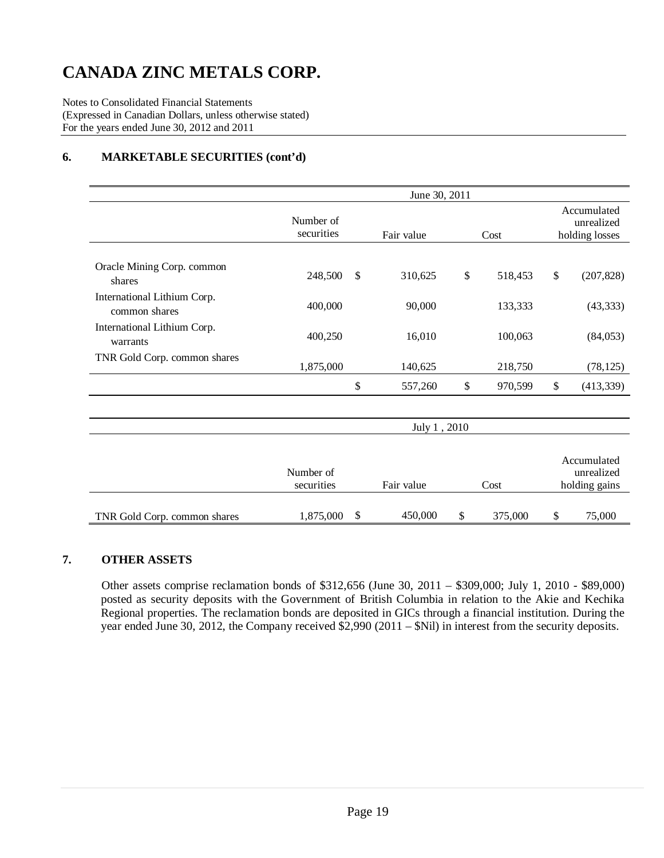Notes to Consolidated Financial Statements (Expressed in Canadian Dollars, unless otherwise stated) For the years ended June 30, 2012 and 2011

### **6. MARKETABLE SECURITIES (cont'd)**

|                                              |                         | June 30, 2011 |               |              |                                             |
|----------------------------------------------|-------------------------|---------------|---------------|--------------|---------------------------------------------|
|                                              | Number of<br>securities | Fair value    | Cost          |              | Accumulated<br>unrealized<br>holding losses |
|                                              |                         |               |               |              |                                             |
| Oracle Mining Corp. common<br>shares         | 248,500                 | \$<br>310,625 | \$<br>518,453 | \$           | (207, 828)                                  |
| International Lithium Corp.<br>common shares | 400,000                 | 90,000        | 133,333       |              | (43, 333)                                   |
| International Lithium Corp.<br>warrants      | 400,250                 | 16,010        | 100,063       |              | (84,053)                                    |
| TNR Gold Corp. common shares                 | 1,875,000               | 140,625       | 218,750       |              | (78, 125)                                   |
|                                              |                         | \$<br>557,260 | \$<br>970,599 | $\mathbb{S}$ | (413,339)                                   |
|                                              |                         |               |               |              |                                             |
|                                              |                         | July 1, 2010  |               |              |                                             |
|                                              |                         |               |               |              |                                             |
|                                              | Number of<br>securities | Fair value    | Cost          |              | Accumulated<br>unrealized<br>holding gains  |
| TNR Gold Corp. common shares                 | 1,875,000               | \$<br>450,000 | \$<br>375,000 | \$           | 75,000                                      |

### **7. OTHER ASSETS**

Other assets comprise reclamation bonds of \$312,656 (June 30, 2011 – \$309,000; July 1, 2010 - \$89,000) posted as security deposits with the Government of British Columbia in relation to the Akie and Kechika Regional properties. The reclamation bonds are deposited in GICs through a financial institution. During the year ended June 30, 2012, the Company received \$2,990 (2011 – \$Nil) in interest from the security deposits.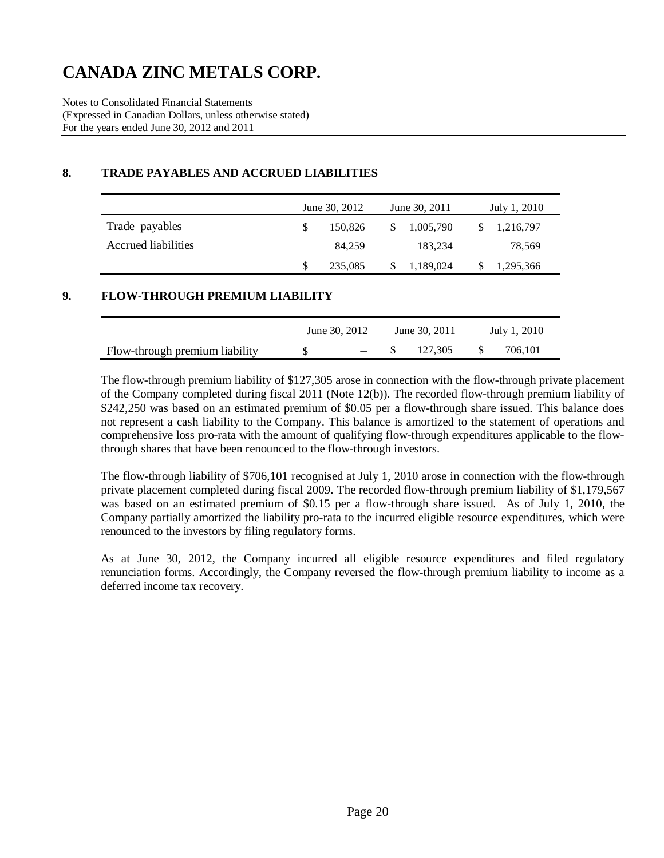Notes to Consolidated Financial Statements (Expressed in Canadian Dollars, unless otherwise stated) For the years ended June 30, 2012 and 2011

### **8. TRADE PAYABLES AND ACCRUED LIABILITIES**

|                     |   | June 30, 2012 | June 30, 2011 | July 1, 2010 |
|---------------------|---|---------------|---------------|--------------|
| Trade payables      | S | 150.826       | 1,005,790     | 1,216,797    |
| Accrued liabilities |   | 84.259        | 183.234       | 78,569       |
|                     |   | 235,085       | 1,189,024     | 1,295,366    |

### **9. FLOW-THROUGH PREMIUM LIABILITY**

|                                | June 30, 2012 | June 30, 2011 | July 1, 2010 |
|--------------------------------|---------------|---------------|--------------|
| Flow-through premium liability | $\sim$        | 127,305       | 706.101      |

The flow-through premium liability of \$127,305 arose in connection with the flow-through private placement of the Company completed during fiscal 2011 (Note 12(b)). The recorded flow-through premium liability of \$242,250 was based on an estimated premium of \$0.05 per a flow-through share issued. This balance does not represent a cash liability to the Company. This balance is amortized to the statement of operations and comprehensive loss pro-rata with the amount of qualifying flow-through expenditures applicable to the flowthrough shares that have been renounced to the flow-through investors.

The flow-through liability of \$706,101 recognised at July 1, 2010 arose in connection with the flow-through private placement completed during fiscal 2009. The recorded flow-through premium liability of \$1,179,567 was based on an estimated premium of \$0.15 per a flow-through share issued. As of July 1, 2010, the Company partially amortized the liability pro-rata to the incurred eligible resource expenditures, which were renounced to the investors by filing regulatory forms.

As at June 30, 2012, the Company incurred all eligible resource expenditures and filed regulatory renunciation forms. Accordingly, the Company reversed the flow-through premium liability to income as a deferred income tax recovery.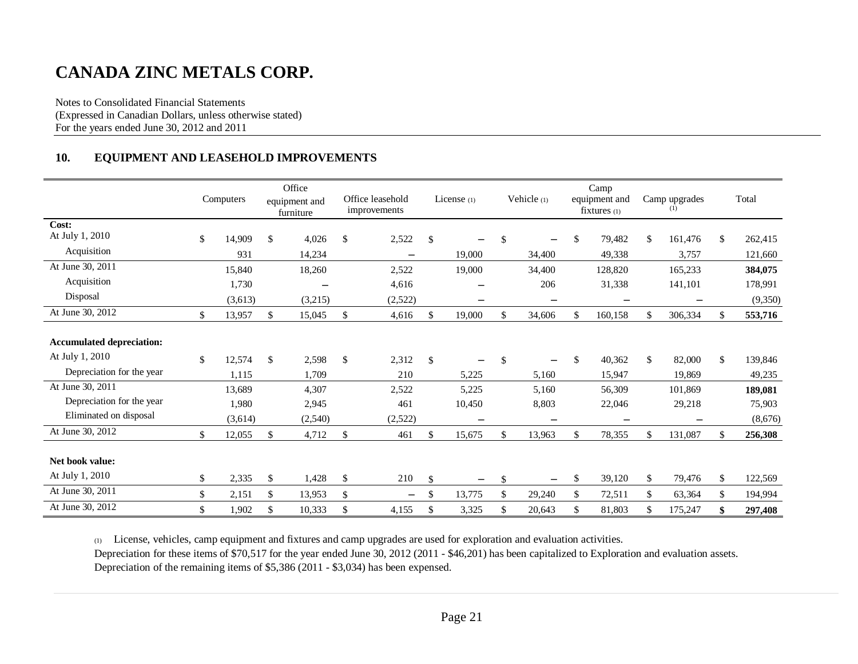Notes to Consolidated Financial Statements (Expressed in Canadian Dollars, unless otherwise stated) For the years ended June 30, 2012 and 2011

### **10. EQUIPMENT AND LEASEHOLD IMPROVEMENTS**

|                                  |              | Office                     |                                  |                          |     |             |               | Camp                            |    |                      |              |         |
|----------------------------------|--------------|----------------------------|----------------------------------|--------------------------|-----|-------------|---------------|---------------------------------|----|----------------------|--------------|---------|
|                                  | Computers    | equipment and<br>furniture | Office leasehold<br>improvements | License (1)              |     | Vehicle (1) |               | equipment and<br>fixtures $(1)$ |    | Camp upgrades<br>(1) |              | Total   |
| Cost:                            |              |                            |                                  |                          |     |             |               |                                 |    |                      |              |         |
| At July 1, 2010                  | \$<br>14.909 | \$<br>4,026                | \$<br>2,522                      | \$                       | \$  |             | \$            | 79,482                          | \$ | 161,476              | \$           | 262,415 |
| Acquisition                      | 931          | 14,234                     | $\qquad \qquad =$                | 19,000                   |     | 34,400      |               | 49,338                          |    | 3,757                |              | 121,660 |
| At June 30, 2011                 | 15,840       | 18,260                     | 2,522                            | 19,000                   |     | 34,400      |               | 128,820                         |    | 165,233              |              | 384,075 |
| Acquisition                      | 1,730        |                            | 4,616                            |                          |     | 206         |               | 31,338                          |    | 141,101              |              | 178,991 |
| Disposal                         | (3,613)      | (3,215)                    | (2,522)                          | $\overline{\phantom{0}}$ |     |             |               |                                 |    |                      |              | (9,350) |
| At June 30, 2012                 | \$<br>13,957 | \$<br>15,045               | \$<br>4,616                      | \$<br>19,000             | \$  | 34,606      | \$.           | 160,158                         | £. | 306,334              | \$           | 553,716 |
| <b>Accumulated depreciation:</b> |              |                            |                                  |                          |     |             |               |                                 |    |                      |              |         |
| At July 1, 2010                  | \$<br>12,574 | \$<br>2,598                | \$<br>2,312                      | \$                       | \$. |             | <sup>\$</sup> | 40,362                          | \$ | 82,000               | $\mathbb{S}$ | 139,846 |
| Depreciation for the year        | 1,115        | 1,709                      | 210                              | 5,225                    |     | 5,160       |               | 15,947                          |    | 19,869               |              | 49,235  |
| At June 30, 2011                 | 13,689       | 4,307                      | 2,522                            | 5,225                    |     | 5,160       |               | 56,309                          |    | 101,869              |              | 189,081 |
| Depreciation for the year        | 1,980        | 2,945                      | 461                              | 10,450                   |     | 8,803       |               | 22,046                          |    | 29,218               |              | 75,903  |
| Eliminated on disposal           | (3,614)      | (2,540)                    | (2,522)                          | $\overline{\phantom{m}}$ |     |             |               |                                 |    |                      |              | (8,676) |
| At June 30, 2012                 | \$<br>12,055 | \$<br>4,712                | \$<br>461                        | \$<br>15,675             | \$  | 13,963      |               | 78,355                          |    | 131,087              | \$           | 256,308 |
| Net book value:                  |              |                            |                                  |                          |     |             |               |                                 |    |                      |              |         |
|                                  |              |                            |                                  |                          |     |             |               |                                 |    |                      |              |         |
| At July 1, 2010                  | \$<br>2,335  | \$<br>1,428                | \$<br>210                        | \$                       | \$  |             | \$            | 39,120                          | \$ | 79,476               | \$           | 122,569 |
| At June 30, 2011                 | \$<br>2,151  | \$<br>13,953               | \$<br>$\overline{\phantom{m}}$   | \$<br>13,775             | \$  | 29,240      | \$            | 72,511                          | \$ | 63,364               | \$           | 194,994 |
| At June 30, 2012                 | \$<br>1,902  | \$<br>10,333               | \$<br>4,155                      | \$<br>3,325              | \$  | 20,643      | \$            | 81,803                          | \$ | 175,247              | \$           | 297,408 |

(1) License, vehicles, camp equipment and fixtures and camp upgrades are used for exploration and evaluation activities.

Depreciation for these items of \$70,517 for the year ended June 30, 2012 (2011 - \$46,201) has been capitalized to Exploration and evaluation assets. Depreciation of the remaining items of \$5,386 (2011 - \$3,034) has been expensed.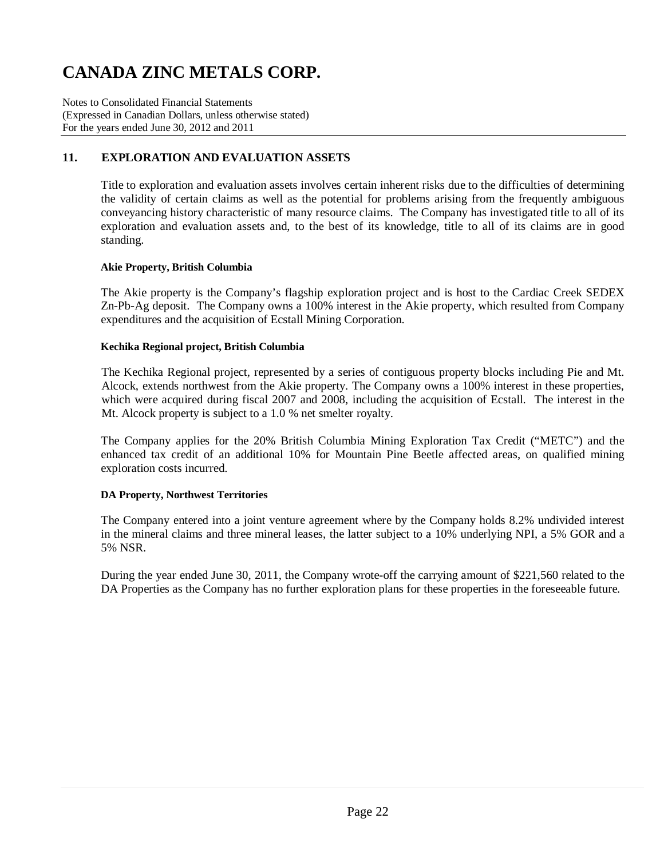Notes to Consolidated Financial Statements (Expressed in Canadian Dollars, unless otherwise stated) For the years ended June 30, 2012 and 2011

### **11. EXPLORATION AND EVALUATION ASSETS**

Title to exploration and evaluation assets involves certain inherent risks due to the difficulties of determining the validity of certain claims as well as the potential for problems arising from the frequently ambiguous conveyancing history characteristic of many resource claims. The Company has investigated title to all of its exploration and evaluation assets and, to the best of its knowledge, title to all of its claims are in good standing.

#### **Akie Property, British Columbia**

The Akie property is the Company's flagship exploration project and is host to the Cardiac Creek SEDEX Zn-Pb-Ag deposit. The Company owns a 100% interest in the Akie property, which resulted from Company expenditures and the acquisition of Ecstall Mining Corporation.

#### **Kechika Regional project, British Columbia**

The Kechika Regional project, represented by a series of contiguous property blocks including Pie and Mt. Alcock, extends northwest from the Akie property. The Company owns a 100% interest in these properties, which were acquired during fiscal 2007 and 2008, including the acquisition of Ecstall. The interest in the Mt. Alcock property is subject to a 1.0 % net smelter royalty.

The Company applies for the 20% British Columbia Mining Exploration Tax Credit ("METC") and the enhanced tax credit of an additional 10% for Mountain Pine Beetle affected areas, on qualified mining exploration costs incurred.

#### **DA Property, Northwest Territories**

The Company entered into a joint venture agreement where by the Company holds 8.2% undivided interest in the mineral claims and three mineral leases, the latter subject to a 10% underlying NPI, a 5% GOR and a 5% NSR.

During the year ended June 30, 2011, the Company wrote-off the carrying amount of \$221,560 related to the DA Properties as the Company has no further exploration plans for these properties in the foreseeable future.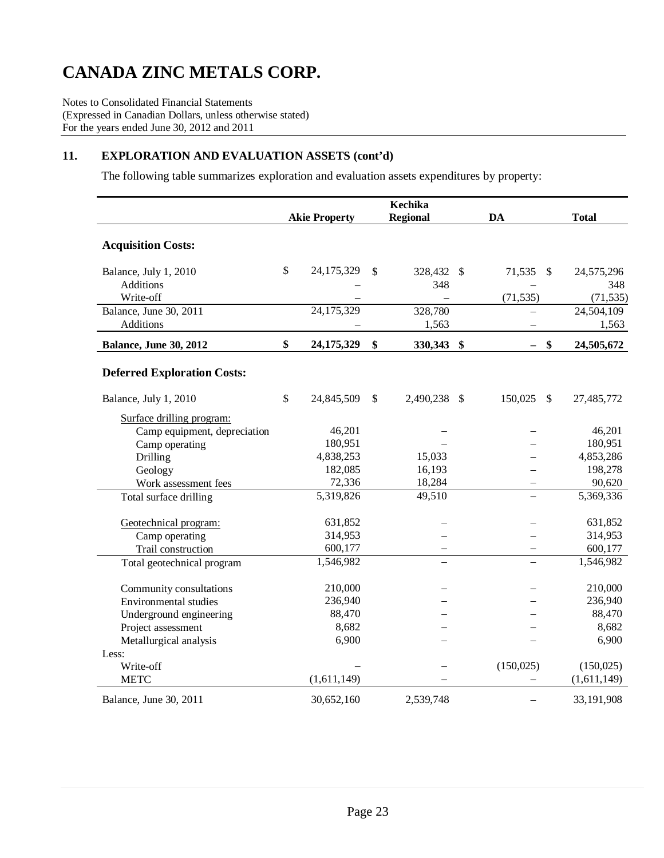Notes to Consolidated Financial Statements (Expressed in Canadian Dollars, unless otherwise stated) For the years ended June 30, 2012 and 2011

### **11. EXPLORATION AND EVALUATION ASSETS (cont'd)**

The following table summarizes exploration and evaluation assets expenditures by property:

|                                    |              |                      |                           | Kechika         |                        |                  |
|------------------------------------|--------------|----------------------|---------------------------|-----------------|------------------------|------------------|
|                                    |              | <b>Akie Property</b> |                           | <b>Regional</b> | <b>DA</b>              | <b>Total</b>     |
| <b>Acquisition Costs:</b>          |              |                      |                           |                 |                        |                  |
| Balance, July 1, 2010              | $\mathbb{S}$ | 24,175,329           | $\mathbb{S}$              | 328,432 \$      | 71,535<br>$\mathbb{S}$ | 24,575,296       |
| <b>Additions</b><br>Write-off      |              |                      |                           | 348             | (71, 535)              | 348<br>(71, 535) |
| Balance, June 30, 2011             |              | 24,175,329           |                           | 328,780         |                        | 24,504,109       |
| Additions                          |              |                      |                           | 1,563           |                        | 1,563            |
| <b>Balance, June 30, 2012</b>      | \$           | 24,175,329           | \$                        | 330,343 \$      | \$                     | 24,505,672       |
| <b>Deferred Exploration Costs:</b> |              |                      |                           |                 |                        |                  |
| Balance, July 1, 2010              | \$           | 24,845,509           | $\boldsymbol{\mathsf{S}}$ | 2,490,238 \$    | 150,025 \$             | 27,485,772       |
| Surface drilling program:          |              |                      |                           |                 |                        |                  |
| Camp equipment, depreciation       |              | 46,201               |                           |                 |                        | 46,201           |
| Camp operating                     |              | 180,951              |                           |                 |                        | 180,951          |
| Drilling                           |              | 4,838,253            |                           | 15,033          |                        | 4,853,286        |
| Geology                            |              | 182,085              |                           | 16,193          |                        | 198,278          |
| Work assessment fees               |              | 72,336               |                           | 18,284          |                        | 90,620           |
| Total surface drilling             |              | 5,319,826            |                           | 49,510          |                        | 5,369,336        |
|                                    |              |                      |                           |                 |                        |                  |
| Geotechnical program:              |              | 631,852              |                           |                 |                        | 631,852          |
| Camp operating                     |              | 314,953              |                           |                 |                        | 314,953          |
| Trail construction                 |              | 600,177              |                           |                 |                        | 600,177          |
| Total geotechnical program         |              | 1,546,982            |                           |                 |                        | 1,546,982        |
| Community consultations            |              | 210,000              |                           |                 |                        | 210,000          |
| Environmental studies              |              | 236,940              |                           |                 |                        | 236,940          |
| Underground engineering            |              | 88,470               |                           |                 |                        | 88,470           |
| Project assessment                 |              | 8,682                |                           |                 |                        | 8,682            |
| Metallurgical analysis             |              | 6,900                |                           |                 |                        | 6,900            |
| Less:                              |              |                      |                           |                 |                        |                  |
| Write-off                          |              |                      |                           |                 | (150, 025)             | (150, 025)       |
| <b>METC</b>                        |              | (1,611,149)          |                           |                 |                        | (1,611,149)      |
| Balance, June 30, 2011             |              | 30,652,160           |                           | 2,539,748       |                        | 33,191,908       |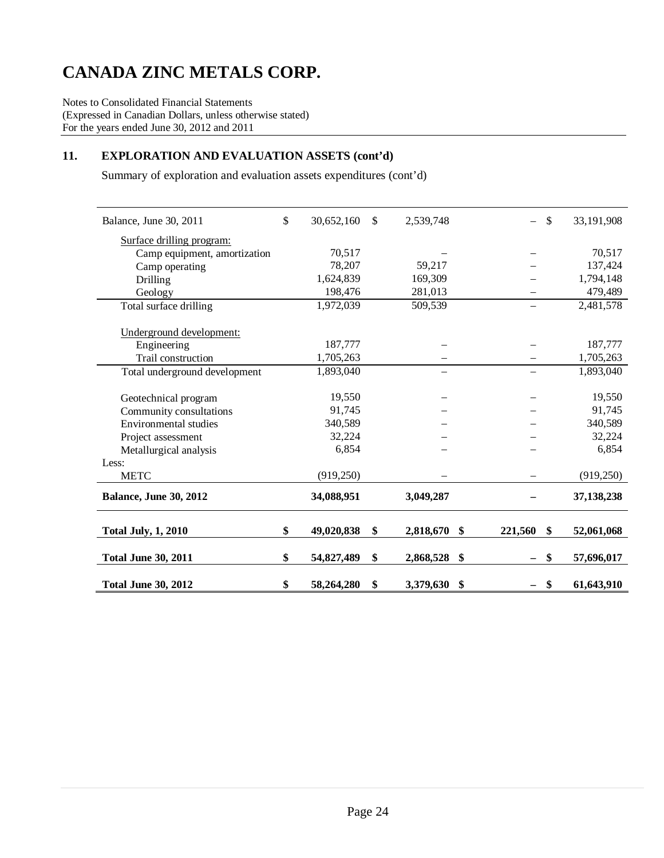Notes to Consolidated Financial Statements (Expressed in Canadian Dollars, unless otherwise stated) For the years ended June 30, 2012 and 2011

### **11. EXPLORATION AND EVALUATION ASSETS (cont'd)**

Summary of exploration and evaluation assets expenditures (cont'd)

| <b>Total June 30, 2012</b>                                                  | \$<br>58,264,280 | \$<br>3,379,630 | \$<br>\$            | 61,643,910        |
|-----------------------------------------------------------------------------|------------------|-----------------|---------------------|-------------------|
| <b>Total June 30, 2011</b>                                                  | \$<br>54,827,489 | \$<br>2,868,528 | \$<br>\$            | 57,696,017        |
| <b>Total July, 1, 2010</b>                                                  | \$<br>49,020,838 | \$<br>2,818,670 | \$<br>221,560<br>\$ | 52,061,068        |
| <b>Balance, June 30, 2012</b>                                               | 34,088,951       | 3,049,287       |                     | 37, 138, 238      |
| Less:<br><b>METC</b>                                                        | (919, 250)       |                 |                     | (919, 250)        |
| Metallurgical analysis                                                      | 6,854            |                 |                     | 6,854             |
| Project assessment                                                          | 32,224           |                 |                     | 32,224            |
| Environmental studies                                                       | 340,589          |                 |                     | 340,589           |
| Community consultations                                                     | 91,745           |                 |                     | 91,745            |
| Geotechnical program                                                        | 19,550           |                 |                     | 19,550            |
| Total underground development                                               | 1.893.040        |                 |                     | 1,893,040         |
| Trail construction                                                          | 1,705,263        |                 |                     | 1,705,263         |
| Engineering                                                                 | 187,777          |                 |                     | 187,777           |
| Underground development:                                                    |                  |                 |                     |                   |
| Total surface drilling                                                      | 1,972,039        | 509,539         |                     | 2,481,578         |
| Geology                                                                     | 198,476          | 281,013         |                     | 479,489           |
| <b>Drilling</b>                                                             | 1,624,839        | 169,309         |                     | 1,794,148         |
| Surface drilling program:<br>Camp equipment, amortization<br>Camp operating | 70,517<br>78,207 | 59,217          |                     | 70,517<br>137,424 |
|                                                                             |                  |                 |                     |                   |
| Balance, June 30, 2011                                                      | \$<br>30,652,160 | \$<br>2,539,748 | $\mathcal{S}$       | 33,191,908        |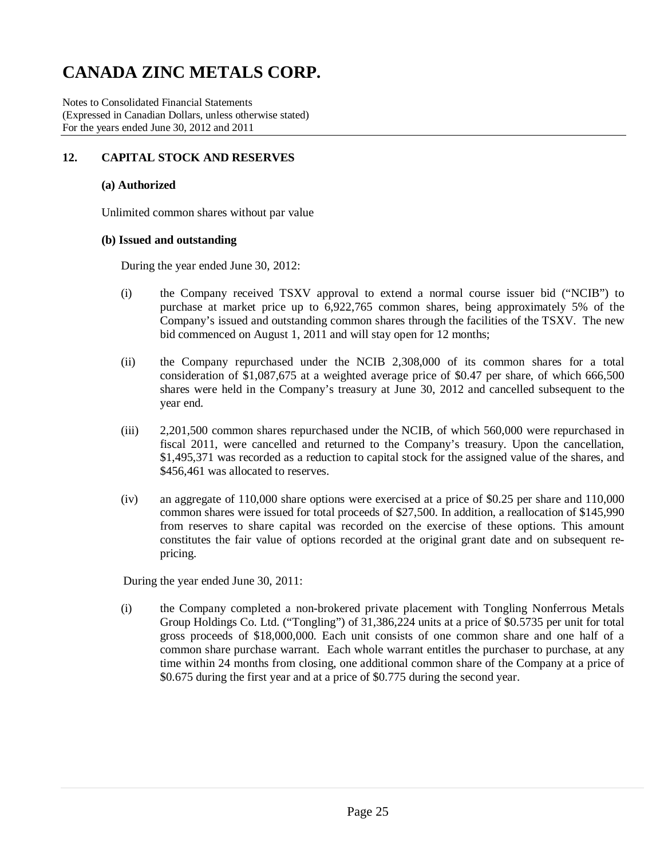Notes to Consolidated Financial Statements (Expressed in Canadian Dollars, unless otherwise stated) For the years ended June 30, 2012 and 2011

### **12. CAPITAL STOCK AND RESERVES**

#### **(a) Authorized**

Unlimited common shares without par value

### **(b) Issued and outstanding**

During the year ended June 30, 2012:

- (i) the Company received TSXV approval to extend a normal course issuer bid ("NCIB") to purchase at market price up to 6,922,765 common shares, being approximately 5% of the Company's issued and outstanding common shares through the facilities of the TSXV. The new bid commenced on August 1, 2011 and will stay open for 12 months;
- (ii) the Company repurchased under the NCIB 2,308,000 of its common shares for a total consideration of \$1,087,675 at a weighted average price of \$0.47 per share, of which 666,500 shares were held in the Company's treasury at June 30, 2012 and cancelled subsequent to the year end.
- (iii) 2,201,500 common shares repurchased under the NCIB, of which 560,000 were repurchased in fiscal 2011, were cancelled and returned to the Company's treasury. Upon the cancellation, \$1,495,371 was recorded as a reduction to capital stock for the assigned value of the shares, and \$456,461 was allocated to reserves.
- (iv) an aggregate of 110,000 share options were exercised at a price of \$0.25 per share and 110,000 common shares were issued for total proceeds of \$27,500. In addition, a reallocation of \$145,990 from reserves to share capital was recorded on the exercise of these options. This amount constitutes the fair value of options recorded at the original grant date and on subsequent repricing.

During the year ended June 30, 2011:

(i) the Company completed a non-brokered private placement with Tongling Nonferrous Metals Group Holdings Co. Ltd. ("Tongling") of 31,386,224 units at a price of \$0.5735 per unit for total gross proceeds of \$18,000,000. Each unit consists of one common share and one half of a common share purchase warrant. Each whole warrant entitles the purchaser to purchase, at any time within 24 months from closing, one additional common share of the Company at a price of \$0.675 during the first year and at a price of \$0.775 during the second year.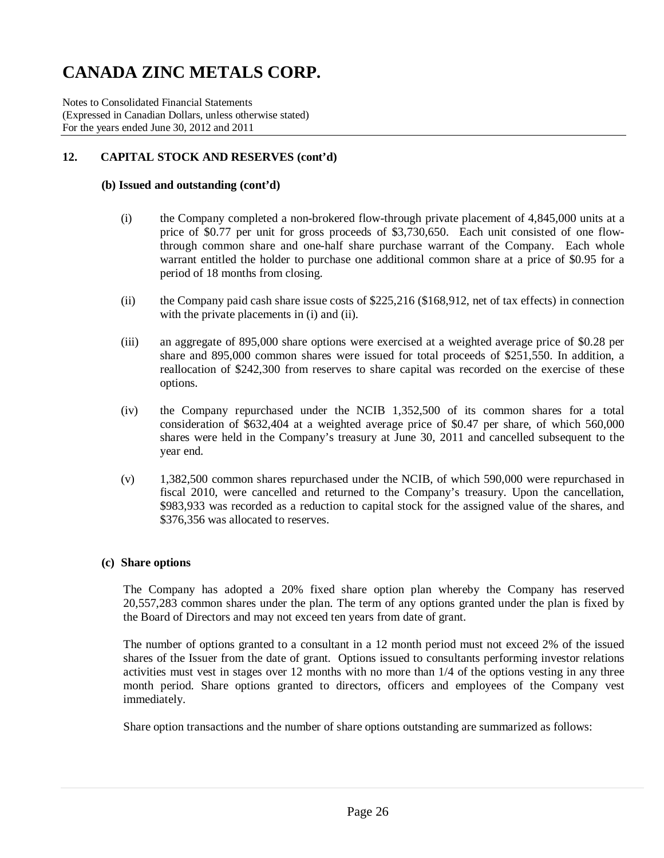Notes to Consolidated Financial Statements (Expressed in Canadian Dollars, unless otherwise stated) For the years ended June 30, 2012 and 2011

### **12. CAPITAL STOCK AND RESERVES (cont'd)**

### **(b) Issued and outstanding (cont'd)**

- (i) the Company completed a non-brokered flow-through private placement of 4,845,000 units at a price of \$0.77 per unit for gross proceeds of \$3,730,650. Each unit consisted of one flowthrough common share and one-half share purchase warrant of the Company. Each whole warrant entitled the holder to purchase one additional common share at a price of \$0.95 for a period of 18 months from closing.
- (ii) the Company paid cash share issue costs of \$225,216 (\$168,912, net of tax effects) in connection with the private placements in (i) and (ii).
- (iii) an aggregate of 895,000 share options were exercised at a weighted average price of \$0.28 per share and 895,000 common shares were issued for total proceeds of \$251,550. In addition, a reallocation of \$242,300 from reserves to share capital was recorded on the exercise of these options.
- (iv) the Company repurchased under the NCIB 1,352,500 of its common shares for a total consideration of \$632,404 at a weighted average price of \$0.47 per share, of which 560,000 shares were held in the Company's treasury at June 30, 2011 and cancelled subsequent to the year end.
- (v) 1,382,500 common shares repurchased under the NCIB, of which 590,000 were repurchased in fiscal 2010, were cancelled and returned to the Company's treasury. Upon the cancellation, \$983,933 was recorded as a reduction to capital stock for the assigned value of the shares, and \$376,356 was allocated to reserves.

#### **(c) Share options**

The Company has adopted a 20% fixed share option plan whereby the Company has reserved 20,557,283 common shares under the plan. The term of any options granted under the plan is fixed by the Board of Directors and may not exceed ten years from date of grant.

The number of options granted to a consultant in a 12 month period must not exceed 2% of the issued shares of the Issuer from the date of grant. Options issued to consultants performing investor relations activities must vest in stages over 12 months with no more than 1/4 of the options vesting in any three month period. Share options granted to directors, officers and employees of the Company vest immediately.

Share option transactions and the number of share options outstanding are summarized as follows: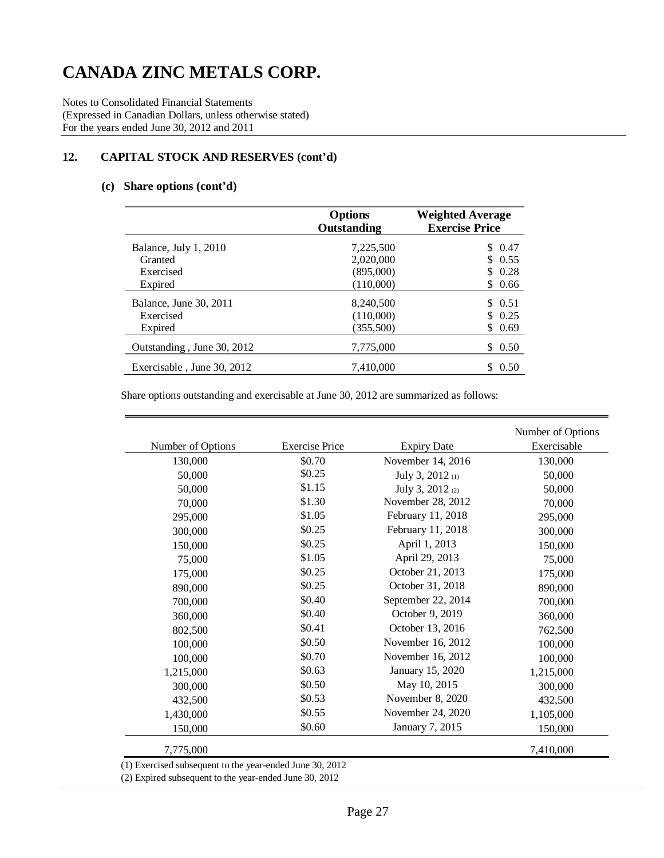Notes to Consolidated Financial Statements (Expressed in Canadian Dollars, unless otherwise stated) For the years ended June 30, 2012 and 2011

### **12. CAPITAL STOCK AND RESERVES (cont'd)**

#### **(c) Share options (cont'd)**

|                                                | <b>Options</b><br>Outstanding       | <b>Weighted Average</b><br><b>Exercise Price</b> |
|------------------------------------------------|-------------------------------------|--------------------------------------------------|
| Balance, July 1, 2010                          | 7,225,500                           | \$ 0.47                                          |
| Granted                                        | 2,020,000                           | 0.55                                             |
| Exercised                                      | (895,000)                           | 0.28<br>S.                                       |
| Expired                                        | (110,000)                           | \$<br>0.66                                       |
| Balance, June 30, 2011<br>Exercised<br>Expired | 8,240,500<br>(110,000)<br>(355,500) | \$ 0.51<br>0.25<br>0.69<br>S                     |
| Outstanding, June 30, 2012                     | 7,775,000                           | 0.50<br>\$                                       |
| Exercisable, June 30, 2012                     | 7,410,000                           | 0.50                                             |

Share options outstanding and exercisable at June 30, 2012 are summarized as follows:

|                   |                       |                    | Number of Options |
|-------------------|-----------------------|--------------------|-------------------|
| Number of Options | <b>Exercise Price</b> | <b>Expiry Date</b> | Exercisable       |
| 130,000           | \$0.70                | November 14, 2016  | 130,000           |
| 50,000            | \$0.25                | July 3, 2012 (1)   | 50,000            |
| 50,000            | \$1.15                | July 3, 2012 (2)   | 50,000            |
| 70,000            | \$1.30                | November 28, 2012  | 70,000            |
| 295,000           | \$1.05                | February 11, 2018  | 295,000           |
| 300,000           | \$0.25                | February 11, 2018  | 300,000           |
| 150,000           | \$0.25                | April 1, 2013      | 150,000           |
| 75,000            | \$1.05                | April 29, 2013     | 75,000            |
| 175,000           | \$0.25                | October 21, 2013   | 175,000           |
| 890,000           | \$0.25                | October 31, 2018   | 890,000           |
| 700,000           | \$0.40                | September 22, 2014 | 700,000           |
| 360,000           | \$0.40                | October 9, 2019    | 360,000           |
| 802,500           | \$0.41                | October 13, 2016   | 762,500           |
| 100,000           | \$0.50                | November 16, 2012  | 100,000           |
| 100,000           | \$0.70                | November 16, 2012  | 100,000           |
| 1,215,000         | \$0.63                | January 15, 2020   | 1,215,000         |
| 300,000           | \$0.50                | May 10, 2015       | 300,000           |
| 432,500           | \$0.53                | November 8, 2020   | 432,500           |
| 1,430,000         | \$0.55                | November 24, 2020  | 1,105,000         |
| 150,000           | \$0.60                | January 7, 2015    | 150,000           |
| 7,775,000         |                       |                    | 7,410,000         |

(1) Exercised subsequent to the year-ended June 30, 2012

(2) Expired subsequent to the year-ended June 30, 2012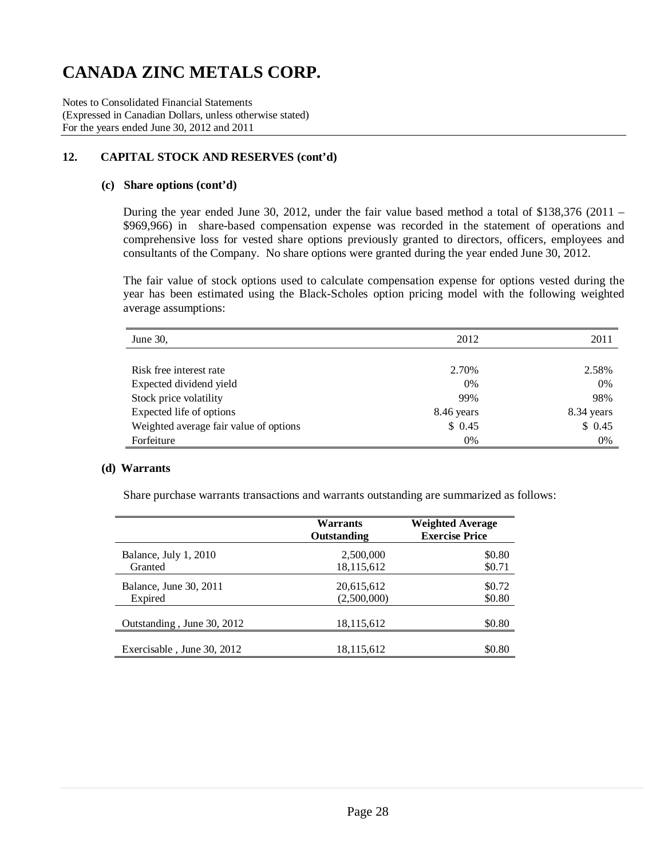Notes to Consolidated Financial Statements (Expressed in Canadian Dollars, unless otherwise stated) For the years ended June 30, 2012 and 2011

### **12. CAPITAL STOCK AND RESERVES (cont'd)**

### **(c) Share options (cont'd)**

During the year ended June 30, 2012, under the fair value based method a total of \$138,376 (2011 – \$969,966) in share-based compensation expense was recorded in the statement of operations and comprehensive loss for vested share options previously granted to directors, officers, employees and consultants of the Company. No share options were granted during the year ended June 30, 2012.

The fair value of stock options used to calculate compensation expense for options vested during the year has been estimated using the Black-Scholes option pricing model with the following weighted average assumptions:

| June 30,                               | 2012       | 2011       |
|----------------------------------------|------------|------------|
|                                        |            |            |
| Risk free interest rate                | 2.70%      | 2.58%      |
| Expected dividend yield                | 0%         | 0%         |
| Stock price volatility                 | 99%        | 98%        |
| Expected life of options               | 8.46 years | 8.34 years |
| Weighted average fair value of options | \$0.45     | \$0.45     |
| Forfeiture                             | 0%         | 0%         |

#### **(d) Warrants**

Share purchase warrants transactions and warrants outstanding are summarized as follows:

|                                   | Warrants<br><b>Outstanding</b> | <b>Weighted Average</b><br><b>Exercise Price</b> |
|-----------------------------------|--------------------------------|--------------------------------------------------|
| Balance, July 1, 2010<br>Granted  | 2,500,000<br>18,115,612        | \$0.80<br>\$0.71                                 |
| Balance, June 30, 2011<br>Expired | 20,615,612<br>(2,500,000)      | \$0.72<br>\$0.80                                 |
| Outstanding, June 30, 2012        | 18,115,612                     | \$0.80                                           |
| Exercisable, June 30, 2012        | 18,115,612                     | \$0.80                                           |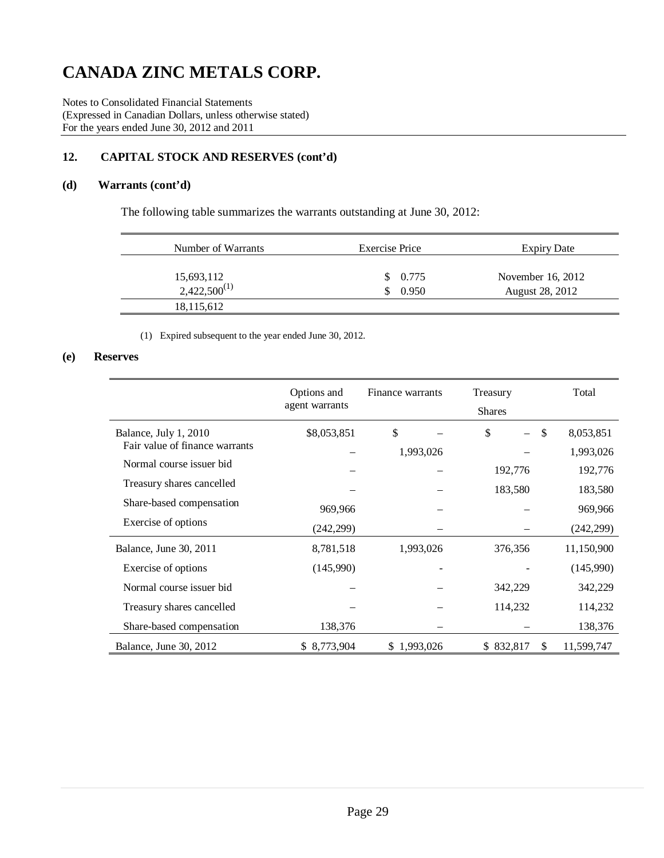Notes to Consolidated Financial Statements (Expressed in Canadian Dollars, unless otherwise stated) For the years ended June 30, 2012 and 2011

### **12. CAPITAL STOCK AND RESERVES (cont'd)**

#### **(d) Warrants (cont'd)**

The following table summarizes the warrants outstanding at June 30, 2012:

| Number of Warrants | Exercise Price | <b>Expiry Date</b> |
|--------------------|----------------|--------------------|
| 15,693,112         | \$0.775        | November 16, 2012  |
| $2,422,500^{(1)}$  | 0.950          | August 28, 2012    |
| 18, 115, 612       |                |                    |

(1) Expired subsequent to the year ended June 30, 2012.

### **(e) Reserves**

|                                | Options and    | Finance warrants | Treasury                       | Total                       |
|--------------------------------|----------------|------------------|--------------------------------|-----------------------------|
|                                | agent warrants |                  | <b>Shares</b>                  |                             |
| Balance, July 1, 2010          | \$8,053,851    | \$               | \$<br>$\overline{\phantom{0}}$ | $\mathbb{S}$<br>8,053,851   |
| Fair value of finance warrants |                | 1,993,026        |                                | 1,993,026                   |
| Normal course issuer bid       |                |                  | 192,776                        | 192,776                     |
| Treasury shares cancelled      |                |                  | 183,580                        | 183,580                     |
| Share-based compensation       | 969,966        |                  |                                | 969,966                     |
| Exercise of options            | (242, 299)     |                  |                                | (242, 299)                  |
| Balance, June 30, 2011         | 8,781,518      | 1,993,026        | 376,356                        | 11,150,900                  |
| Exercise of options            | (145,990)      |                  |                                | (145,990)                   |
| Normal course issuer bid       |                |                  | 342,229                        | 342,229                     |
| Treasury shares cancelled      |                |                  | 114,232                        | 114,232                     |
| Share-based compensation       | 138,376        |                  |                                | 138,376                     |
| Balance, June 30, 2012         | \$ 8,773,904   | \$1,993,026      | \$ 832,817                     | 11,599,747<br><sup>\$</sup> |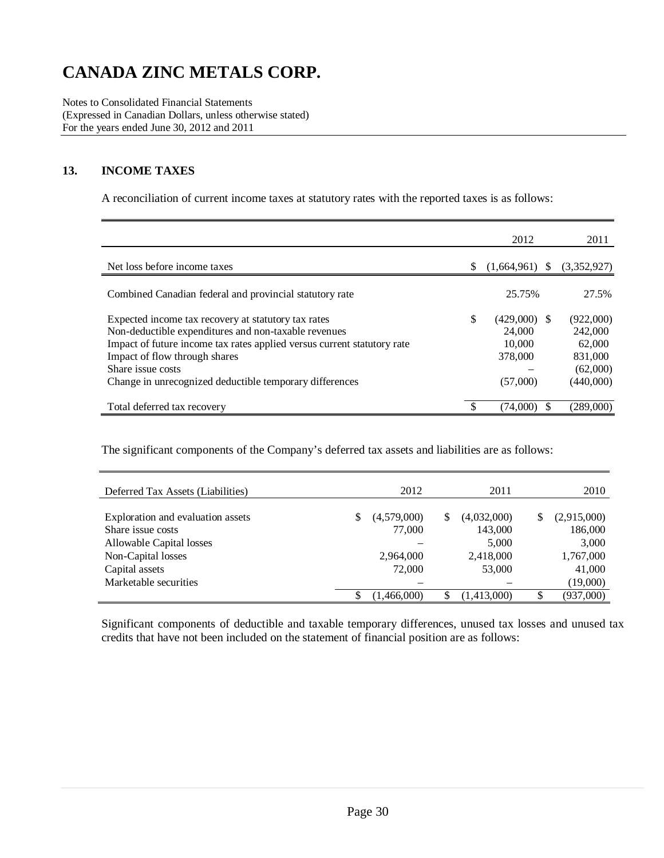Notes to Consolidated Financial Statements (Expressed in Canadian Dollars, unless otherwise stated) For the years ended June 30, 2012 and 2011

### **13. INCOME TAXES**

A reconciliation of current income taxes at statutory rates with the reported taxes is as follows:

|                                                                                                                                 |    | 2012             |   | 2011                |
|---------------------------------------------------------------------------------------------------------------------------------|----|------------------|---|---------------------|
| Net loss before income taxes                                                                                                    | S  | (1,664,961)      | S | (3,352,927)         |
| Combined Canadian federal and provincial statutory rate                                                                         |    | 25.75%           |   | 27.5%               |
| Expected income tax recovery at statutory tax rates                                                                             | \$ | $(429,000)$ \$   |   | (922,000)           |
| Non-deductible expenditures and non-taxable revenues<br>Impact of future income tax rates applied versus current statutory rate |    | 24,000<br>10,000 |   | 242,000<br>62,000   |
| Impact of flow through shares<br>Share issue costs                                                                              |    | 378,000          |   | 831,000<br>(62,000) |
| Change in unrecognized deductible temporary differences                                                                         |    | (57,000)         |   | (440,000)           |
| Total deferred tax recovery                                                                                                     |    | (74,000)         |   | (289,000)           |

The significant components of the Company's deferred tax assets and liabilities are as follows:

| Deferred Tax Assets (Liabilities) |   | 2012        |   | 2011        |   | 2010        |
|-----------------------------------|---|-------------|---|-------------|---|-------------|
| Exploration and evaluation assets | S | (4,579,000) | S | (4,032,000) | S | (2,915,000) |
| Share issue costs                 |   | 77,000      |   | 143,000     |   | 186,000     |
| Allowable Capital losses          |   |             |   | 5,000       |   | 3,000       |
| Non-Capital losses                |   | 2,964,000   |   | 2,418,000   |   | 1,767,000   |
| Capital assets                    |   | 72,000      |   | 53,000      |   | 41,000      |
| Marketable securities             |   |             |   |             |   | (19,000)    |
|                                   |   | 1.466.000)  |   | (1,413,000) |   | (937,000)   |

 Significant components of deductible and taxable temporary differences, unused tax losses and unused tax credits that have not been included on the statement of financial position are as follows: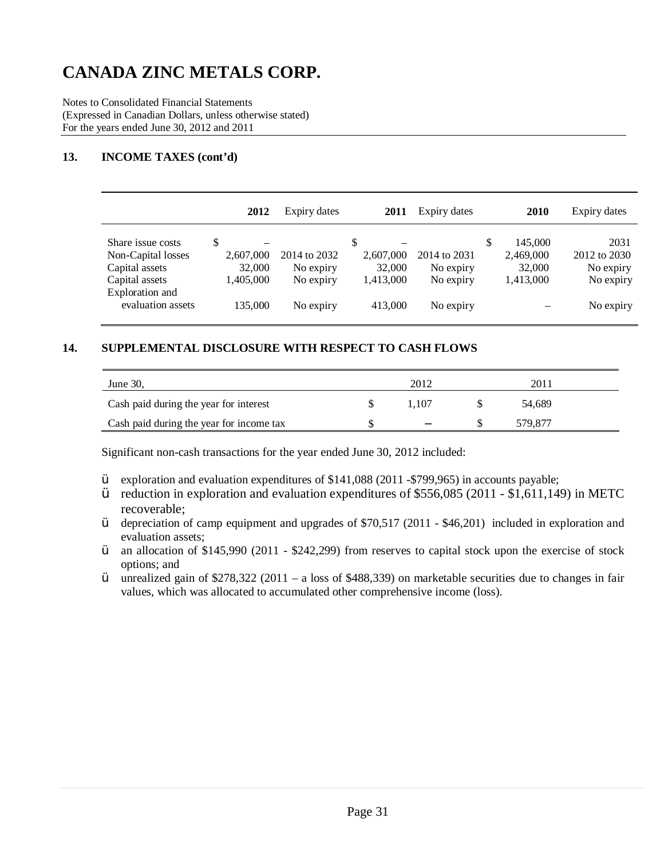Notes to Consolidated Financial Statements (Expressed in Canadian Dollars, unless otherwise stated) For the years ended June 30, 2012 and 2011

### **13. INCOME TAXES (cont'd)**

|                                                                                                                     | 2012                                              | Expiry dates                                        | 2011                                              | Expiry dates                                        | 2010                                              | Expiry dates                                                |
|---------------------------------------------------------------------------------------------------------------------|---------------------------------------------------|-----------------------------------------------------|---------------------------------------------------|-----------------------------------------------------|---------------------------------------------------|-------------------------------------------------------------|
| Share issue costs<br>Non-Capital losses<br>Capital assets<br>Capital assets<br>Exploration and<br>evaluation assets | \$<br>2,607,000<br>32,000<br>1,405,000<br>135,000 | 2014 to 2032<br>No expiry<br>No expiry<br>No expiry | \$<br>2,607,000<br>32,000<br>1,413,000<br>413,000 | 2014 to 2031<br>No expiry<br>No expiry<br>No expiry | \$<br>145,000<br>2,469,000<br>32,000<br>1,413,000 | 2031<br>2012 to 2030<br>No expiry<br>No expiry<br>No expiry |

### **14. SUPPLEMENTAL DISCLOSURE WITH RESPECT TO CASH FLOWS**

| June 30,                                 | 2012                     | 2011    |  |
|------------------------------------------|--------------------------|---------|--|
| Cash paid during the year for interest   | 107                      | 54.689  |  |
| Cash paid during the year for income tax | $\overline{\phantom{0}}$ | 579.877 |  |

Significant non-cash transactions for the year ended June 30, 2012 included:

- Ÿ exploration and evaluation expenditures of \$141,088 (2011 -\$799,965) in accounts payable;
- $\ddot{V}$  reduction in exploration and evaluation expenditures of \$556,085 (2011 \$1,611,149) in METC recoverable;
- Ÿ depreciation of camp equipment and upgrades of \$70,517 (2011 \$46,201) included in exploration and evaluation assets;
- Ÿ an allocation of \$145,990 (2011 \$242,299) from reserves to capital stock upon the exercise of stock options; and
- $\ddot{Y}$  unrealized gain of \$278,322 (2011 a loss of \$488,339) on marketable securities due to changes in fair values, which was allocated to accumulated other comprehensive income (loss).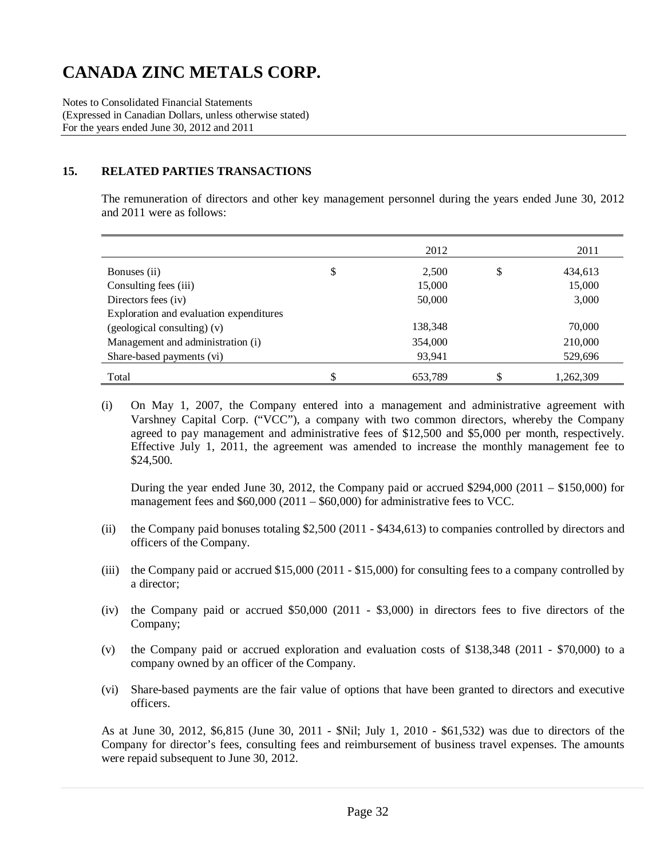Notes to Consolidated Financial Statements (Expressed in Canadian Dollars, unless otherwise stated) For the years ended June 30, 2012 and 2011

### **15. RELATED PARTIES TRANSACTIONS**

The remuneration of directors and other key management personnel during the years ended June 30, 2012 and 2011 were as follows:

|                                         | 2012        | 2011          |
|-----------------------------------------|-------------|---------------|
| Bonuses (ii)                            | \$<br>2,500 | \$<br>434,613 |
| Consulting fees (iii)                   | 15,000      | 15,000        |
| Directors fees (iv)                     | 50,000      | 3,000         |
| Exploration and evaluation expenditures |             |               |
| (geological consulting) (v)             | 138,348     | 70,000        |
| Management and administration (i)       | 354,000     | 210,000       |
| Share-based payments (vi)               | 93,941      | 529,696       |
| Total                                   | 653,789     | 1,262,309     |

(i) On May 1, 2007, the Company entered into a management and administrative agreement with Varshney Capital Corp. ("VCC"), a company with two common directors, whereby the Company agreed to pay management and administrative fees of \$12,500 and \$5,000 per month, respectively. Effective July 1, 2011, the agreement was amended to increase the monthly management fee to \$24,500.

During the year ended June 30, 2012, the Company paid or accrued  $$294,000 (2011 - $150,000)$  for management fees and \$60,000 (2011 – \$60,000) for administrative fees to VCC.

- (ii) the Company paid bonuses totaling \$2,500 (2011 \$434,613) to companies controlled by directors and officers of the Company.
- (iii) the Company paid or accrued \$15,000 (2011 \$15,000) for consulting fees to a company controlled by a director;
- (iv) the Company paid or accrued \$50,000 (2011 \$3,000) in directors fees to five directors of the Company;
- (v) the Company paid or accrued exploration and evaluation costs of \$138,348 (2011 \$70,000) to a company owned by an officer of the Company.
- (vi) Share-based payments are the fair value of options that have been granted to directors and executive officers.

As at June 30, 2012, \$6,815 (June 30, 2011 - \$Nil; July 1, 2010 - \$61,532) was due to directors of the Company for director's fees, consulting fees and reimbursement of business travel expenses. The amounts were repaid subsequent to June 30, 2012.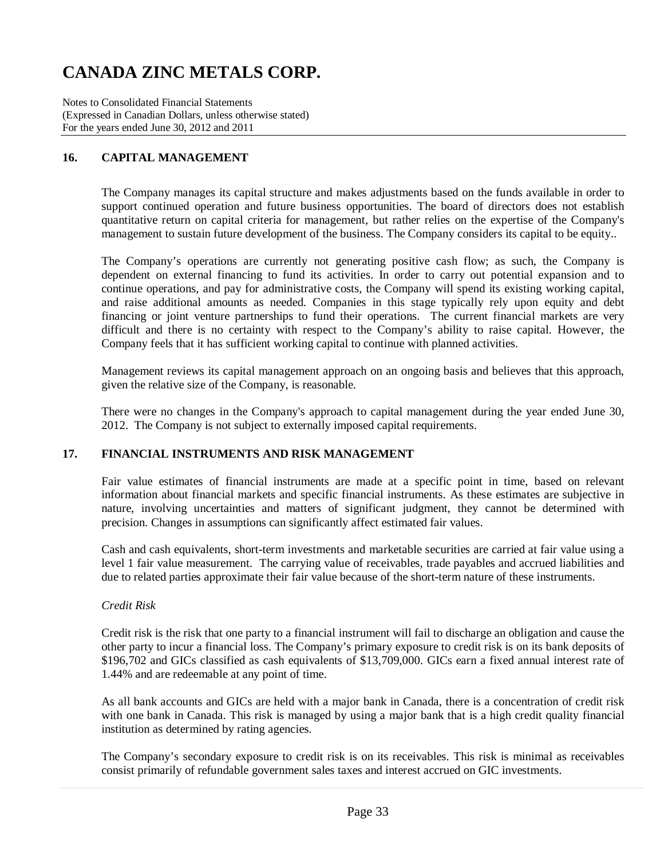Notes to Consolidated Financial Statements (Expressed in Canadian Dollars, unless otherwise stated) For the years ended June 30, 2012 and 2011

### **16. CAPITAL MANAGEMENT**

The Company manages its capital structure and makes adjustments based on the funds available in order to support continued operation and future business opportunities. The board of directors does not establish quantitative return on capital criteria for management, but rather relies on the expertise of the Company's management to sustain future development of the business. The Company considers its capital to be equity..

The Company's operations are currently not generating positive cash flow; as such, the Company is dependent on external financing to fund its activities. In order to carry out potential expansion and to continue operations, and pay for administrative costs, the Company will spend its existing working capital, and raise additional amounts as needed. Companies in this stage typically rely upon equity and debt financing or joint venture partnerships to fund their operations. The current financial markets are very difficult and there is no certainty with respect to the Company's ability to raise capital. However, the Company feels that it has sufficient working capital to continue with planned activities.

Management reviews its capital management approach on an ongoing basis and believes that this approach, given the relative size of the Company, is reasonable.

There were no changes in the Company's approach to capital management during the year ended June 30, 2012. The Company is not subject to externally imposed capital requirements.

### **17. FINANCIAL INSTRUMENTS AND RISK MANAGEMENT**

Fair value estimates of financial instruments are made at a specific point in time, based on relevant information about financial markets and specific financial instruments. As these estimates are subjective in nature, involving uncertainties and matters of significant judgment, they cannot be determined with precision. Changes in assumptions can significantly affect estimated fair values.

Cash and cash equivalents, short-term investments and marketable securities are carried at fair value using a level 1 fair value measurement. The carrying value of receivables, trade payables and accrued liabilities and due to related parties approximate their fair value because of the short-term nature of these instruments.

#### *Credit Risk*

Credit risk is the risk that one party to a financial instrument will fail to discharge an obligation and cause the other party to incur a financial loss. The Company's primary exposure to credit risk is on its bank deposits of \$196,702 and GICs classified as cash equivalents of \$13,709,000. GICs earn a fixed annual interest rate of 1.44% and are redeemable at any point of time.

As all bank accounts and GICs are held with a major bank in Canada, there is a concentration of credit risk with one bank in Canada. This risk is managed by using a major bank that is a high credit quality financial institution as determined by rating agencies.

The Company's secondary exposure to credit risk is on its receivables. This risk is minimal as receivables consist primarily of refundable government sales taxes and interest accrued on GIC investments.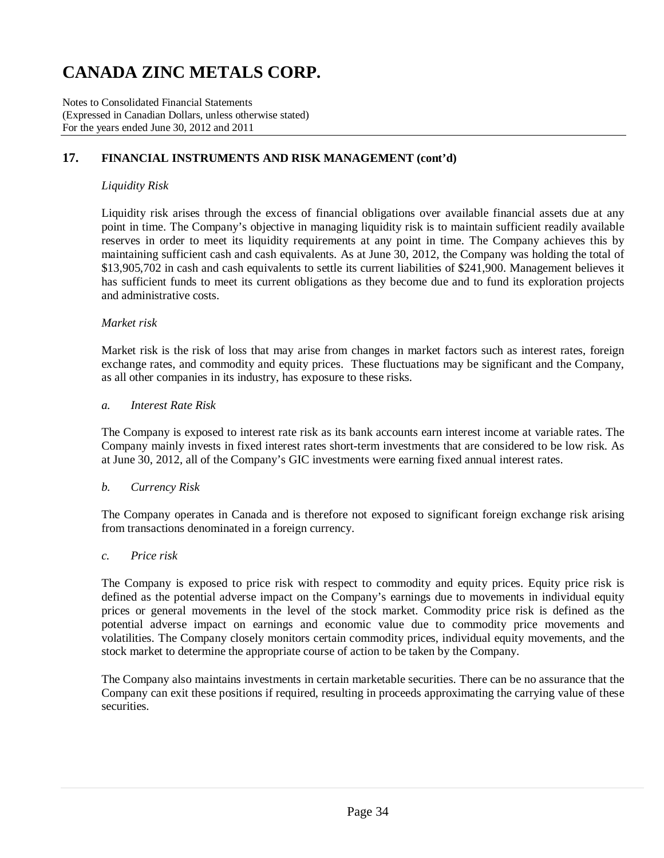Notes to Consolidated Financial Statements (Expressed in Canadian Dollars, unless otherwise stated) For the years ended June 30, 2012 and 2011

### **17. FINANCIAL INSTRUMENTS AND RISK MANAGEMENT (cont'd)**

### *Liquidity Risk*

Liquidity risk arises through the excess of financial obligations over available financial assets due at any point in time. The Company's objective in managing liquidity risk is to maintain sufficient readily available reserves in order to meet its liquidity requirements at any point in time. The Company achieves this by maintaining sufficient cash and cash equivalents. As at June 30, 2012, the Company was holding the total of \$13,905,702 in cash and cash equivalents to settle its current liabilities of \$241,900. Management believes it has sufficient funds to meet its current obligations as they become due and to fund its exploration projects and administrative costs.

#### *Market risk*

Market risk is the risk of loss that may arise from changes in market factors such as interest rates, foreign exchange rates, and commodity and equity prices. These fluctuations may be significant and the Company, as all other companies in its industry, has exposure to these risks.

#### *a. Interest Rate Risk*

The Company is exposed to interest rate risk as its bank accounts earn interest income at variable rates. The Company mainly invests in fixed interest rates short-term investments that are considered to be low risk. As at June 30, 2012, all of the Company's GIC investments were earning fixed annual interest rates.

#### *b. Currency Risk*

The Company operates in Canada and is therefore not exposed to significant foreign exchange risk arising from transactions denominated in a foreign currency.

#### *c. Price risk*

The Company is exposed to price risk with respect to commodity and equity prices. Equity price risk is defined as the potential adverse impact on the Company's earnings due to movements in individual equity prices or general movements in the level of the stock market. Commodity price risk is defined as the potential adverse impact on earnings and economic value due to commodity price movements and volatilities. The Company closely monitors certain commodity prices, individual equity movements, and the stock market to determine the appropriate course of action to be taken by the Company.

The Company also maintains investments in certain marketable securities. There can be no assurance that the Company can exit these positions if required, resulting in proceeds approximating the carrying value of these securities.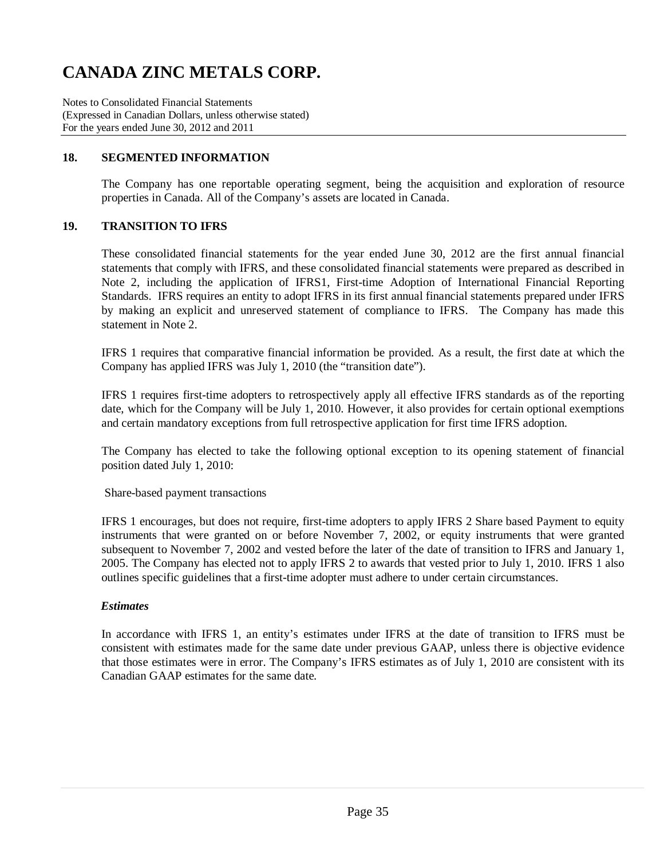Notes to Consolidated Financial Statements (Expressed in Canadian Dollars, unless otherwise stated) For the years ended June 30, 2012 and 2011

### **18. SEGMENTED INFORMATION**

The Company has one reportable operating segment, being the acquisition and exploration of resource properties in Canada. All of the Company's assets are located in Canada.

### **19. TRANSITION TO IFRS**

These consolidated financial statements for the year ended June 30, 2012 are the first annual financial statements that comply with IFRS, and these consolidated financial statements were prepared as described in Note 2, including the application of IFRS1, First-time Adoption of International Financial Reporting Standards. IFRS requires an entity to adopt IFRS in its first annual financial statements prepared under IFRS by making an explicit and unreserved statement of compliance to IFRS. The Company has made this statement in Note 2.

IFRS 1 requires that comparative financial information be provided. As a result, the first date at which the Company has applied IFRS was July 1, 2010 (the "transition date").

IFRS 1 requires first-time adopters to retrospectively apply all effective IFRS standards as of the reporting date, which for the Company will be July 1, 2010. However, it also provides for certain optional exemptions and certain mandatory exceptions from full retrospective application for first time IFRS adoption.

The Company has elected to take the following optional exception to its opening statement of financial position dated July 1, 2010:

Share-based payment transactions

IFRS 1 encourages, but does not require, first-time adopters to apply IFRS 2 Share based Payment to equity instruments that were granted on or before November 7, 2002, or equity instruments that were granted subsequent to November 7, 2002 and vested before the later of the date of transition to IFRS and January 1, 2005. The Company has elected not to apply IFRS 2 to awards that vested prior to July 1, 2010. IFRS 1 also outlines specific guidelines that a first-time adopter must adhere to under certain circumstances.

#### *Estimates*

In accordance with IFRS 1, an entity's estimates under IFRS at the date of transition to IFRS must be consistent with estimates made for the same date under previous GAAP, unless there is objective evidence that those estimates were in error. The Company's IFRS estimates as of July 1, 2010 are consistent with its Canadian GAAP estimates for the same date.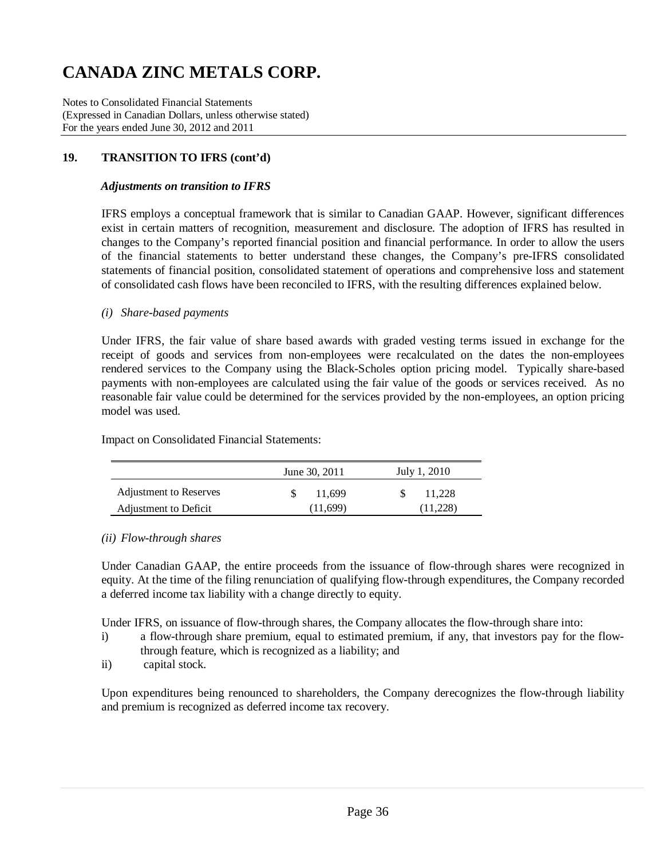Notes to Consolidated Financial Statements (Expressed in Canadian Dollars, unless otherwise stated) For the years ended June 30, 2012 and 2011

### **19. TRANSITION TO IFRS (cont'd)**

#### *Adjustments on transition to IFRS*

IFRS employs a conceptual framework that is similar to Canadian GAAP. However, significant differences exist in certain matters of recognition, measurement and disclosure. The adoption of IFRS has resulted in changes to the Company's reported financial position and financial performance. In order to allow the users of the financial statements to better understand these changes, the Company's pre-IFRS consolidated statements of financial position, consolidated statement of operations and comprehensive loss and statement of consolidated cash flows have been reconciled to IFRS, with the resulting differences explained below.

*(i) Share-based payments* 

Under IFRS, the fair value of share based awards with graded vesting terms issued in exchange for the receipt of goods and services from non-employees were recalculated on the dates the non-employees rendered services to the Company using the Black-Scholes option pricing model. Typically share-based payments with non-employees are calculated using the fair value of the goods or services received. As no reasonable fair value could be determined for the services provided by the non-employees, an option pricing model was used.

Impact on Consolidated Financial Statements:

|                               | June 30, 2011 | July 1, 2010 |
|-------------------------------|---------------|--------------|
| <b>Adjustment to Reserves</b> | 11.699        | 11.228       |
| <b>Adjustment to Deficit</b>  | (11,699)      | (11,228)     |

#### *(ii) Flow-through shares*

Under Canadian GAAP, the entire proceeds from the issuance of flow-through shares were recognized in equity. At the time of the filing renunciation of qualifying flow-through expenditures, the Company recorded a deferred income tax liability with a change directly to equity.

Under IFRS, on issuance of flow-through shares, the Company allocates the flow-through share into:

- i) a flow-through share premium, equal to estimated premium, if any, that investors pay for the flowthrough feature, which is recognized as a liability; and
- ii) capital stock.

Upon expenditures being renounced to shareholders, the Company derecognizes the flow-through liability and premium is recognized as deferred income tax recovery.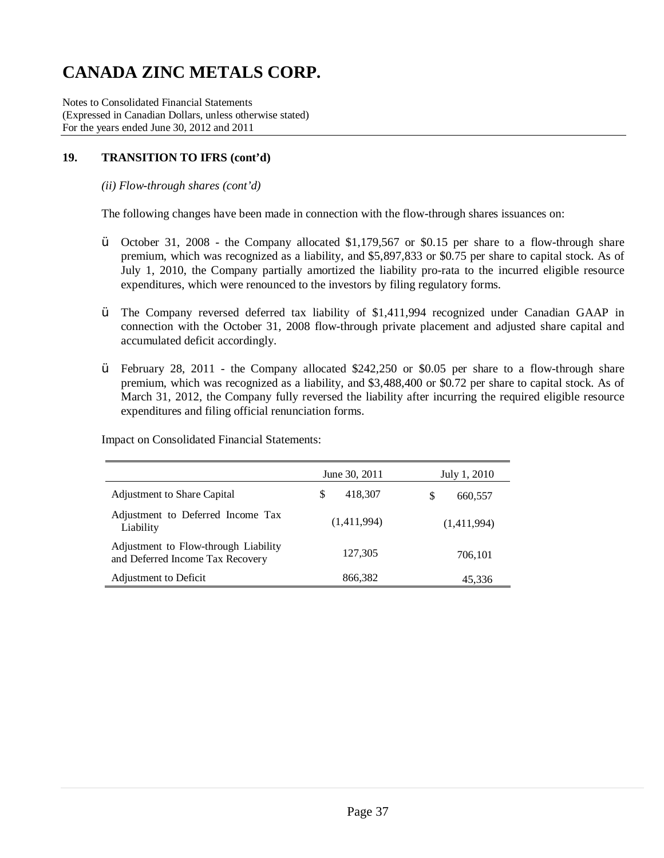Notes to Consolidated Financial Statements (Expressed in Canadian Dollars, unless otherwise stated) For the years ended June 30, 2012 and 2011

### **19. TRANSITION TO IFRS (cont'd)**

### *(ii) Flow-through shares (cont'd)*

The following changes have been made in connection with the flow-through shares issuances on:

- Ÿ October 31, 2008 the Company allocated \$1,179,567 or \$0.15 per share to a flow-through share premium, which was recognized as a liability, and \$5,897,833 or \$0.75 per share to capital stock. As of July 1, 2010, the Company partially amortized the liability pro-rata to the incurred eligible resource expenditures, which were renounced to the investors by filing regulatory forms.
- Ÿ The Company reversed deferred tax liability of \$1,411,994 recognized under Canadian GAAP in connection with the October 31, 2008 flow-through private placement and adjusted share capital and accumulated deficit accordingly.
- Ÿ February 28, 2011 the Company allocated \$242,250 or \$0.05 per share to a flow-through share premium, which was recognized as a liability, and \$3,488,400 or \$0.72 per share to capital stock. As of March 31, 2012, the Company fully reversed the liability after incurring the required eligible resource expenditures and filing official renunciation forms.

|                                                                          | June 30, 2011 | July 1, 2010 |
|--------------------------------------------------------------------------|---------------|--------------|
| <b>Adjustment to Share Capital</b>                                       | S<br>418,307  | S<br>660,557 |
| Adjustment to Deferred Income Tax<br>Liability                           | (1,411,994)   | (1,411,994)  |
| Adjustment to Flow-through Liability<br>and Deferred Income Tax Recovery | 127,305       | 706,101      |
| Adjustment to Deficit                                                    | 866,382       | 45,336       |

Impact on Consolidated Financial Statements: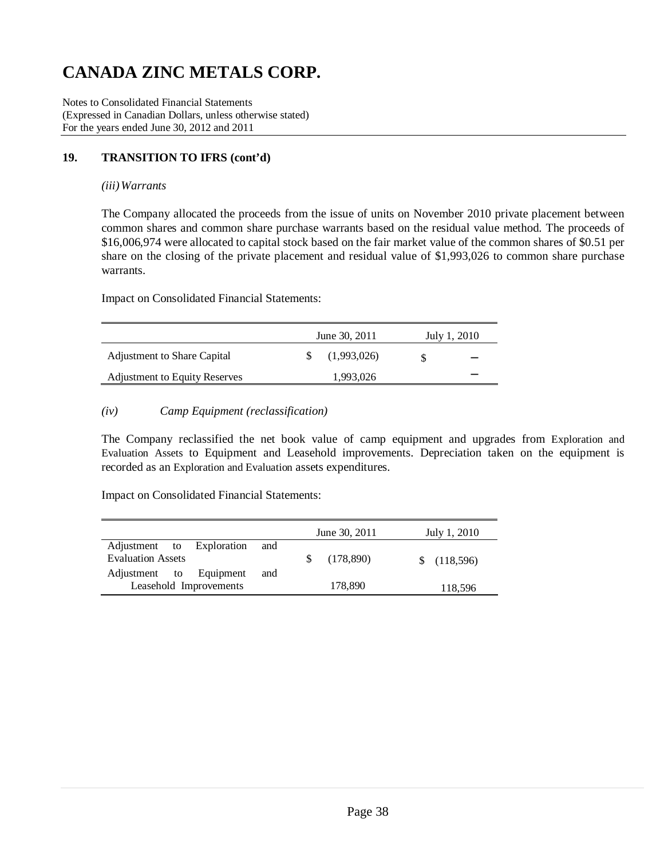Notes to Consolidated Financial Statements (Expressed in Canadian Dollars, unless otherwise stated) For the years ended June 30, 2012 and 2011

### **19. TRANSITION TO IFRS (cont'd)**

#### *(iii)Warrants*

The Company allocated the proceeds from the issue of units on November 2010 private placement between common shares and common share purchase warrants based on the residual value method. The proceeds of \$16,006,974 were allocated to capital stock based on the fair market value of the common shares of \$0.51 per share on the closing of the private placement and residual value of \$1,993,026 to common share purchase warrants.

Impact on Consolidated Financial Statements:

|                                      | June 30, 2011 | July 1, 2010 |
|--------------------------------------|---------------|--------------|
| <b>Adjustment to Share Capital</b>   | (1,993,026)   |              |
| <b>Adjustment to Equity Reserves</b> | 1,993,026     |              |

### *(iv) Camp Equipment (reclassification)*

The Company reclassified the net book value of camp equipment and upgrades from Exploration and Evaluation Assets to Equipment and Leasehold improvements. Depreciation taken on the equipment is recorded as an Exploration and Evaluation assets expenditures.

Impact on Consolidated Financial Statements:

|                           |                        |     | June 30, 2011 | July 1, 2010 |
|---------------------------|------------------------|-----|---------------|--------------|
| Adjustment to Exploration |                        | and |               |              |
| <b>Evaluation Assets</b>  |                        |     | \$(178,890)   | \$(118,596)  |
| Adjustment to Equipment   |                        | and |               |              |
|                           | Leasehold Improvements |     | 178,890       | 118,596      |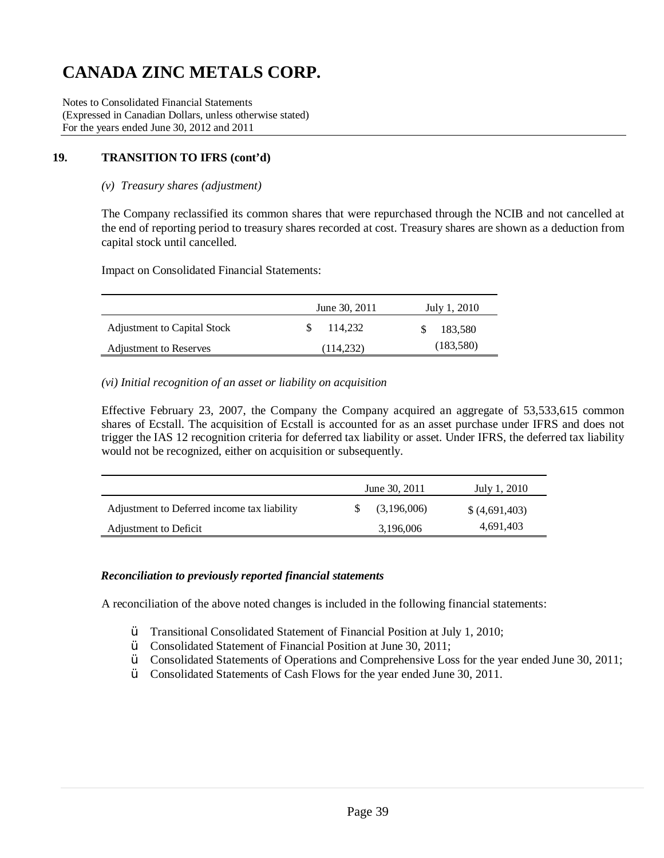Notes to Consolidated Financial Statements (Expressed in Canadian Dollars, unless otherwise stated) For the years ended June 30, 2012 and 2011

### **19. TRANSITION TO IFRS (cont'd)**

#### *(v) Treasury shares (adjustment)*

The Company reclassified its common shares that were repurchased through the NCIB and not cancelled at the end of reporting period to treasury shares recorded at cost. Treasury shares are shown as a deduction from capital stock until cancelled.

Impact on Consolidated Financial Statements:

|                             | June 30, 2011 | July 1, 2010 |
|-----------------------------|---------------|--------------|
| Adjustment to Capital Stock | 114.232       | 183.580      |
| Adjustment to Reserves      | (114, 232)    | (183, 580)   |

### *(vi) Initial recognition of an asset or liability on acquisition*

Effective February 23, 2007, the Company the Company acquired an aggregate of 53,533,615 common shares of Ecstall. The acquisition of Ecstall is accounted for as an asset purchase under IFRS and does not trigger the IAS 12 recognition criteria for deferred tax liability or asset. Under IFRS, the deferred tax liability would not be recognized, either on acquisition or subsequently.

|                                             | June 30, 2011 | July 1, 2010  |
|---------------------------------------------|---------------|---------------|
| Adjustment to Deferred income tax liability | (3,196,006)   | \$(4,691,403) |
| Adjustment to Deficit                       | 3,196,006     | 4,691,403     |

### *Reconciliation to previously reported financial statements*

A reconciliation of the above noted changes is included in the following financial statements:

- Ÿ Transitional Consolidated Statement of Financial Position at July 1, 2010;
- Ÿ Consolidated Statement of Financial Position at June 30, 2011;
- Ÿ Consolidated Statements of Operations and Comprehensive Loss for the year ended June 30, 2011;
- Ÿ Consolidated Statements of Cash Flows for the year ended June 30, 2011.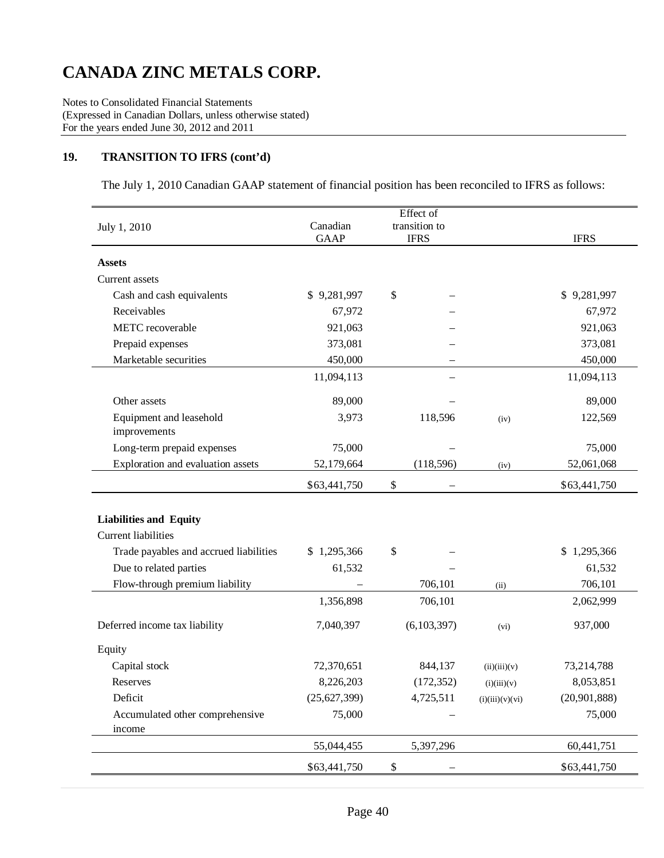Notes to Consolidated Financial Statements (Expressed in Canadian Dollars, unless otherwise stated) For the years ended June 30, 2012 and 2011

### **19. TRANSITION TO IFRS (cont'd)**

The July 1, 2010 Canadian GAAP statement of financial position has been reconciled to IFRS as follows:

| July 1, 2010                               | Canadian                   |      | transition to |                 |                |
|--------------------------------------------|----------------------------|------|---------------|-----------------|----------------|
|                                            | <b>GAAP</b><br><b>IFRS</b> |      |               |                 | <b>IFRS</b>    |
| <b>Assets</b>                              |                            |      |               |                 |                |
| Current assets                             |                            |      |               |                 |                |
| Cash and cash equivalents                  | \$9,281,997                | $\$$ |               |                 | \$9,281,997    |
| Receivables                                | 67,972                     |      |               |                 | 67,972         |
| METC recoverable                           | 921,063                    |      |               |                 | 921,063        |
| Prepaid expenses                           | 373,081                    |      |               |                 | 373,081        |
| Marketable securities                      | 450,000                    |      |               |                 | 450,000        |
|                                            | 11,094,113                 |      |               |                 | 11,094,113     |
| Other assets                               | 89,000                     |      |               |                 | 89,000         |
| Equipment and leasehold                    | 3,973                      |      | 118,596       | (iv)            | 122,569        |
| improvements<br>Long-term prepaid expenses | 75,000                     |      |               |                 | 75,000         |
| Exploration and evaluation assets          | 52,179,664                 |      | (118, 596)    | (iv)            | 52,061,068     |
|                                            | \$63,441,750               | \$   |               |                 | \$63,441,750   |
|                                            |                            |      |               |                 |                |
| <b>Liabilities and Equity</b>              |                            |      |               |                 |                |
| <b>Current liabilities</b>                 |                            |      |               |                 |                |
| Trade payables and accrued liabilities     | \$1,295,366                | \$   |               |                 | \$1,295,366    |
| Due to related parties                     | 61,532                     |      |               |                 | 61,532         |
| Flow-through premium liability             |                            |      | 706,101       | (ii)            | 706,101        |
|                                            | 1,356,898                  |      | 706,101       |                 | 2,062,999      |
| Deferred income tax liability              | 7,040,397                  |      | (6,103,397)   | (vi)            | 937,000        |
| Equity                                     |                            |      |               |                 |                |
| Capital stock                              | 72,370,651                 |      | 844,137       | (ii)(iii)(v)    | 73,214,788     |
| Reserves                                   | 8,226,203                  |      | (172, 352)    | (i)(iii)(v)     | 8,053,851      |
| Deficit                                    | (25, 627, 399)             |      | 4,725,511     | (i)(iii)(v)(vi) | (20, 901, 888) |
| Accumulated other comprehensive<br>income  | 75,000                     |      |               |                 | 75,000         |
|                                            | 55,044,455                 |      | 5,397,296     |                 | 60,441,751     |
|                                            | \$63,441,750               | $\$$ |               |                 | \$63,441,750   |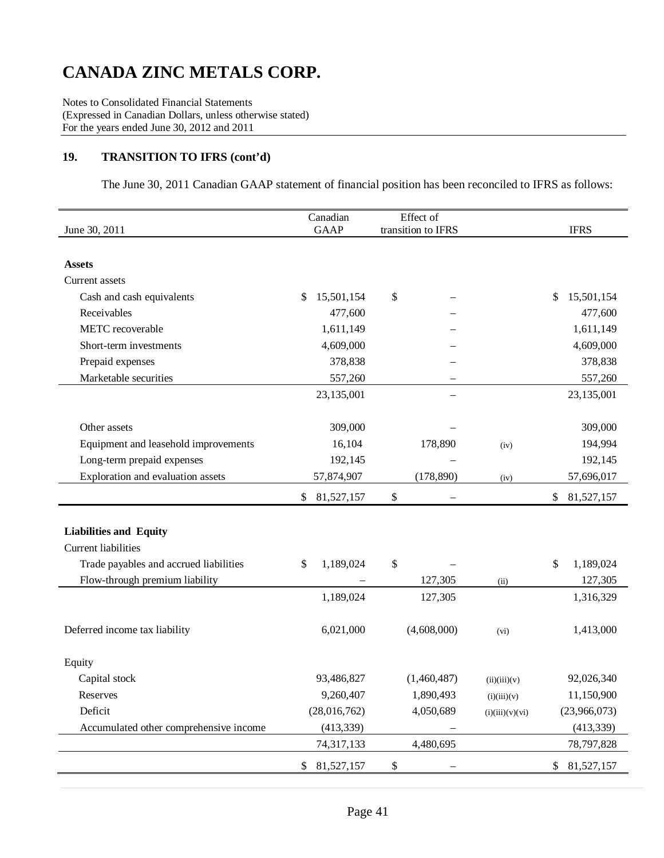Notes to Consolidated Financial Statements (Expressed in Canadian Dollars, unless otherwise stated) For the years ended June 30, 2012 and 2011

### **19. TRANSITION TO IFRS (cont'd)**

The June 30, 2011 Canadian GAAP statement of financial position has been reconciled to IFRS as follows:

| June 30, 2011                          | Canadian<br><b>GAAP</b> | Effect of<br>transition to IFRS |                 | <b>IFRS</b>      |
|----------------------------------------|-------------------------|---------------------------------|-----------------|------------------|
|                                        |                         |                                 |                 |                  |
| <b>Assets</b>                          |                         |                                 |                 |                  |
| Current assets                         |                         |                                 |                 |                  |
| Cash and cash equivalents              | 15,501,154<br>\$        | \$                              |                 | 15,501,154<br>\$ |
| Receivables                            | 477,600                 |                                 |                 | 477,600          |
| <b>METC</b> recoverable                | 1,611,149               |                                 |                 | 1,611,149        |
| Short-term investments                 | 4,609,000               |                                 |                 | 4,609,000        |
| Prepaid expenses                       | 378,838                 |                                 |                 | 378,838          |
| Marketable securities                  | 557,260                 |                                 |                 | 557,260          |
|                                        | 23,135,001              |                                 |                 | 23,135,001       |
|                                        |                         |                                 |                 |                  |
| Other assets                           | 309,000                 |                                 |                 | 309,000          |
| Equipment and leasehold improvements   | 16,104                  | 178,890                         | (iv)            | 194,994          |
| Long-term prepaid expenses             | 192,145                 |                                 |                 | 192,145          |
| Exploration and evaluation assets      | 57,874,907              | (178, 890)                      | (iv)            | 57,696,017       |
|                                        | \$<br>81,527,157        | \$                              |                 | \$<br>81,527,157 |
|                                        |                         |                                 |                 |                  |
| <b>Liabilities and Equity</b>          |                         |                                 |                 |                  |
| <b>Current liabilities</b>             |                         |                                 |                 |                  |
| Trade payables and accrued liabilities | 1,189,024<br>\$         | \$                              |                 | \$<br>1,189,024  |
| Flow-through premium liability         |                         | 127,305                         | (ii)            | 127,305          |
|                                        | 1,189,024               | 127,305                         |                 | 1,316,329        |
|                                        |                         |                                 |                 |                  |
| Deferred income tax liability          | 6,021,000               | (4,608,000)                     | (vi)            | 1,413,000        |
|                                        |                         |                                 |                 |                  |
| Equity                                 | 93,486,827              | (1,460,487)                     |                 | 92,026,340       |
| Capital stock                          |                         |                                 | (ii)(iii)(v)    |                  |
| Reserves                               | 9,260,407               | 1,890,493                       | (i)(iii)(v)     | 11,150,900       |
| Deficit                                | (28,016,762)            | 4,050,689                       | (i)(iii)(v)(vi) | (23,966,073)     |
| Accumulated other comprehensive income | (413, 339)              |                                 |                 | (413, 339)       |
|                                        | 74,317,133              | 4,480,695                       |                 | 78,797,828       |
|                                        | 81,527,157<br>\$        | \$                              |                 | 81,527,157<br>\$ |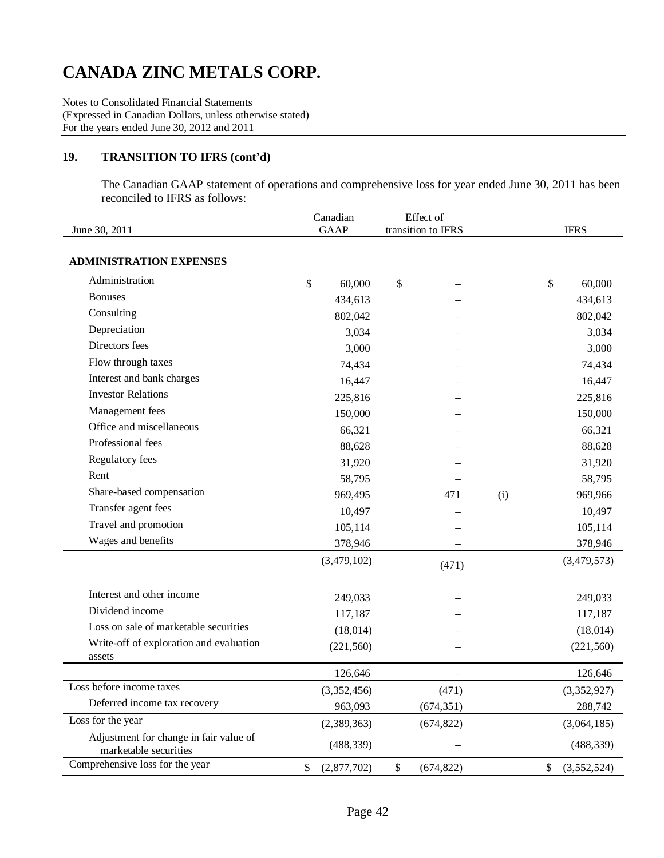Notes to Consolidated Financial Statements (Expressed in Canadian Dollars, unless otherwise stated) For the years ended June 30, 2012 and 2011

### **19. TRANSITION TO IFRS (cont'd)**

The Canadian GAAP statement of operations and comprehensive loss for year ended June 30, 2011 has been reconciled to IFRS as follows:

|                                                                 | Canadian          |    | Effect of          |     |             |             |
|-----------------------------------------------------------------|-------------------|----|--------------------|-----|-------------|-------------|
| June 30, 2011                                                   | <b>GAAP</b>       |    | transition to IFRS |     | <b>IFRS</b> |             |
|                                                                 |                   |    |                    |     |             |             |
| <b>ADMINISTRATION EXPENSES</b>                                  |                   |    |                    |     |             |             |
| Administration                                                  | \$<br>60,000      | \$ |                    |     | \$          | 60,000      |
| <b>Bonuses</b>                                                  | 434,613           |    |                    |     |             | 434,613     |
| Consulting                                                      | 802,042           |    |                    |     |             | 802,042     |
| Depreciation                                                    | 3,034             |    |                    |     |             | 3,034       |
| Directors fees                                                  | 3,000             |    |                    |     |             | 3,000       |
| Flow through taxes                                              | 74,434            |    |                    |     |             | 74,434      |
| Interest and bank charges                                       | 16,447            |    |                    |     |             | 16,447      |
| <b>Investor Relations</b>                                       | 225,816           |    |                    |     |             | 225,816     |
| Management fees                                                 | 150,000           |    |                    |     |             | 150,000     |
| Office and miscellaneous                                        | 66,321            |    |                    |     |             | 66,321      |
| Professional fees                                               | 88,628            |    |                    |     |             | 88,628      |
| Regulatory fees                                                 | 31,920            |    |                    |     |             | 31,920      |
| Rent                                                            | 58,795            |    |                    |     |             | 58,795      |
| Share-based compensation                                        | 969,495           |    | 471                | (i) |             | 969,966     |
| Transfer agent fees                                             | 10,497            |    |                    |     |             | 10,497      |
| Travel and promotion                                            | 105,114           |    |                    |     |             | 105,114     |
| Wages and benefits                                              | 378,946           |    |                    |     |             | 378,946     |
|                                                                 | (3,479,102)       |    | (471)              |     |             | (3,479,573) |
|                                                                 |                   |    |                    |     |             |             |
| Interest and other income                                       | 249,033           |    |                    |     |             | 249,033     |
| Dividend income                                                 | 117,187           |    |                    |     |             | 117,187     |
| Loss on sale of marketable securities                           | (18,014)          |    |                    |     |             | (18,014)    |
| Write-off of exploration and evaluation                         | (221, 560)        |    |                    |     |             | (221, 560)  |
| assets                                                          |                   |    |                    |     |             |             |
|                                                                 | 126,646           |    |                    |     |             | 126,646     |
| Loss before income taxes                                        | (3,352,456)       |    | (471)              |     |             | (3,352,927) |
| Deferred income tax recovery                                    | 963,093           |    | (674, 351)         |     |             | 288,742     |
| Loss for the year                                               | (2,389,363)       |    | (674, 822)         |     |             | (3,064,185) |
| Adjustment for change in fair value of<br>marketable securities | (488, 339)        |    |                    |     |             | (488, 339)  |
| Comprehensive loss for the year                                 | \$<br>(2,877,702) | \$ | (674, 822)         |     | \$          | (3,552,524) |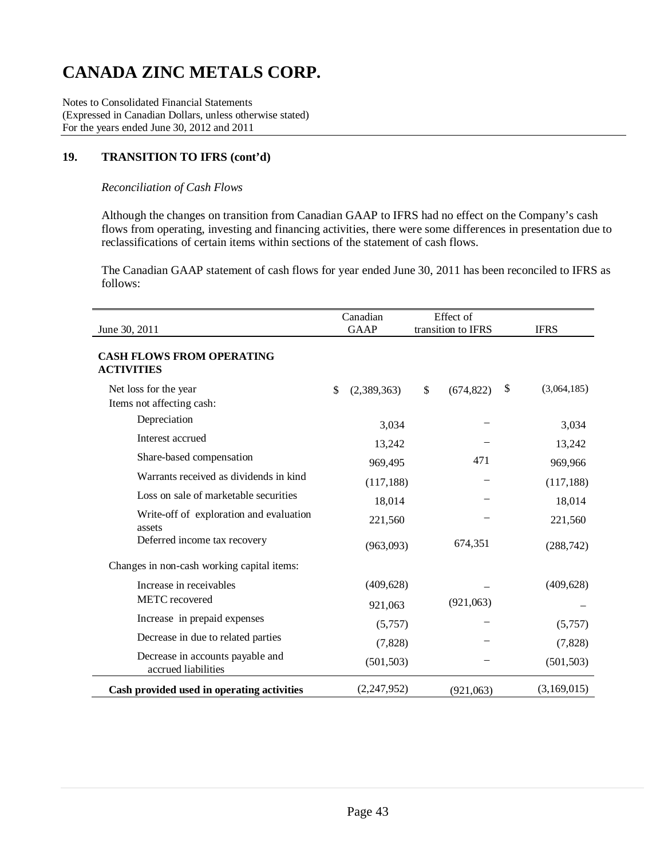Notes to Consolidated Financial Statements (Expressed in Canadian Dollars, unless otherwise stated) For the years ended June 30, 2012 and 2011

### **19. TRANSITION TO IFRS (cont'd)**

#### *Reconciliation of Cash Flows*

Although the changes on transition from Canadian GAAP to IFRS had no effect on the Company's cash flows from operating, investing and financing activities, there were some differences in presentation due to reclassifications of certain items within sections of the statement of cash flows.

The Canadian GAAP statement of cash flows for year ended June 30, 2011 has been reconciled to IFRS as follows:

| June 30, 2011                                           | Canadian<br><b>GAAP</b> |             | Effect of<br>transition to IFRS |            |            | <b>IFRS</b> |
|---------------------------------------------------------|-------------------------|-------------|---------------------------------|------------|------------|-------------|
| <b>CASH FLOWS FROM OPERATING</b><br><b>ACTIVITIES</b>   |                         |             |                                 |            |            |             |
| Net loss for the year                                   | \$                      | (2,389,363) | $\mathbb{S}$                    | (674, 822) | \$         | (3,064,185) |
| Items not affecting cash:                               |                         |             |                                 |            |            |             |
| Depreciation                                            |                         | 3,034       |                                 |            |            | 3,034       |
| Interest accrued                                        |                         | 13,242      |                                 |            |            | 13,242      |
| Share-based compensation                                |                         | 969,495     |                                 | 471        |            | 969,966     |
| Warrants received as dividends in kind                  |                         | (117, 188)  |                                 |            | (117, 188) |             |
| Loss on sale of marketable securities                   |                         | 18,014      |                                 |            |            | 18,014      |
| Write-off of exploration and evaluation<br>assets       |                         | 221,560     |                                 |            |            | 221,560     |
| Deferred income tax recovery                            |                         | (963,093)   | 674,351                         |            |            | (288, 742)  |
| Changes in non-cash working capital items:              |                         |             |                                 |            |            |             |
| Increase in receivables                                 |                         | (409, 628)  |                                 |            |            | (409, 628)  |
| METC recovered                                          |                         | 921,063     |                                 | (921,063)  |            |             |
| Increase in prepaid expenses                            |                         | (5,757)     |                                 |            |            | (5,757)     |
| Decrease in due to related parties                      |                         | (7,828)     |                                 |            |            | (7,828)     |
| Decrease in accounts payable and<br>accrued liabilities |                         | (501, 503)  |                                 |            |            | (501, 503)  |
| Cash provided used in operating activities              |                         | (2,247,952) |                                 | (921,063)  |            | (3,169,015) |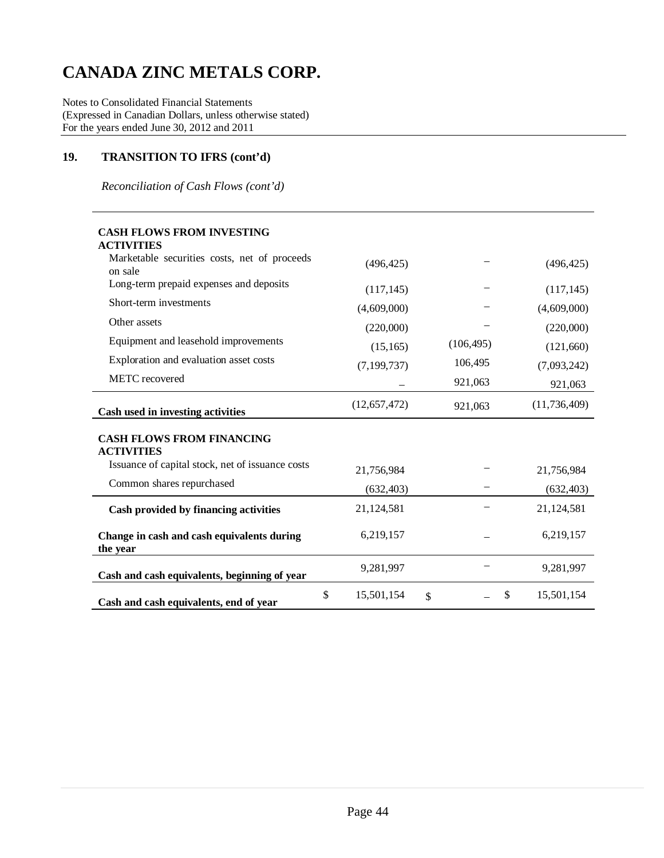Notes to Consolidated Financial Statements (Expressed in Canadian Dollars, unless otherwise stated) For the years ended June 30, 2012 and 2011

### **19. TRANSITION TO IFRS (cont'd)**

*Reconciliation of Cash Flows (cont'd)* 

| <b>CASH FLOWS FROM INVESTING</b><br><b>ACTIVITIES</b>   |                  |            |                  |
|---------------------------------------------------------|------------------|------------|------------------|
| Marketable securities costs, net of proceeds<br>on sale | (496, 425)       |            | (496, 425)       |
| Long-term prepaid expenses and deposits                 | (117, 145)       |            | (117, 145)       |
| Short-term investments                                  | (4,609,000)      |            | (4,609,000)      |
| Other assets                                            | (220,000)        |            | (220,000)        |
| Equipment and leasehold improvements                    | (15, 165)        | (106, 495) | (121,660)        |
| Exploration and evaluation asset costs                  | (7, 199, 737)    | 106,495    | (7,093,242)      |
| METC recovered                                          |                  | 921,063    | 921,063          |
| Cash used in investing activities                       | (12, 657, 472)   | 921,063    | (11, 736, 409)   |
| <b>CASH FLOWS FROM FINANCING</b><br><b>ACTIVITIES</b>   |                  |            |                  |
| Issuance of capital stock, net of issuance costs        | 21,756,984       |            | 21,756,984       |
| Common shares repurchased                               | (632, 403)       |            | (632, 403)       |
| Cash provided by financing activities                   | 21,124,581       |            | 21,124,581       |
| Change in cash and cash equivalents during<br>the year  | 6,219,157        |            | 6,219,157        |
| Cash and cash equivalents, beginning of year            | 9,281,997        |            | 9,281,997        |
| Cash and cash equivalents, end of year                  | \$<br>15,501,154 | \$         | \$<br>15,501,154 |